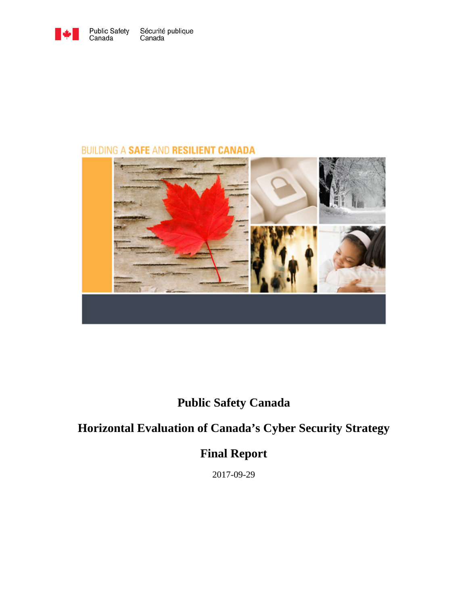

#### **BUILDING A SAFE AND RESILIENT CANADA**



# **Public Safety Canada**

# **Horizontal Evaluation of Canada's Cyber Security Strategy**

# **Final Report**

2017-09-29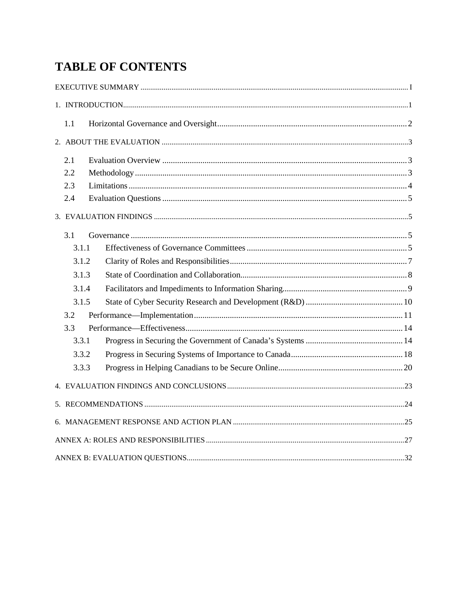# **TABLE OF CONTENTS**

<span id="page-1-0"></span>

| 1.1   |  |  |  |  |  |  |  |
|-------|--|--|--|--|--|--|--|
|       |  |  |  |  |  |  |  |
| 2.1   |  |  |  |  |  |  |  |
| 2.2   |  |  |  |  |  |  |  |
| 2.3   |  |  |  |  |  |  |  |
| 2.4   |  |  |  |  |  |  |  |
|       |  |  |  |  |  |  |  |
| 3.1   |  |  |  |  |  |  |  |
| 3.1.1 |  |  |  |  |  |  |  |
| 3.1.2 |  |  |  |  |  |  |  |
| 3.1.3 |  |  |  |  |  |  |  |
| 3.1.4 |  |  |  |  |  |  |  |
| 3.1.5 |  |  |  |  |  |  |  |
| 3.2   |  |  |  |  |  |  |  |
| 3.3   |  |  |  |  |  |  |  |
| 3.3.1 |  |  |  |  |  |  |  |
| 3.3.2 |  |  |  |  |  |  |  |
| 3.3.3 |  |  |  |  |  |  |  |
|       |  |  |  |  |  |  |  |
|       |  |  |  |  |  |  |  |
|       |  |  |  |  |  |  |  |
|       |  |  |  |  |  |  |  |
|       |  |  |  |  |  |  |  |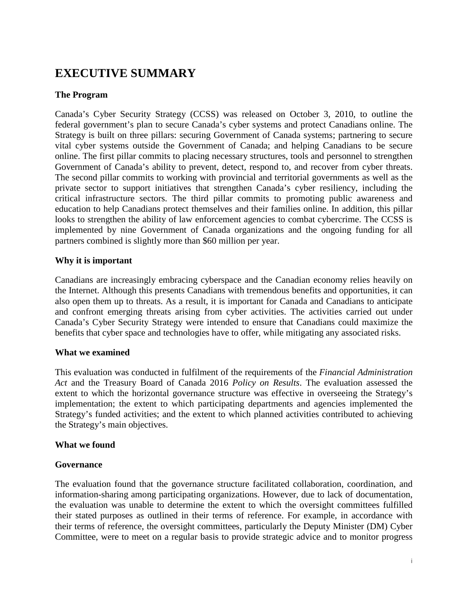## <span id="page-2-0"></span>**EXECUTIVE SUMMARY**

#### **The Program**

Canada's Cyber Security Strategy (CCSS) was released on October 3, 2010, to outline the federal government's plan to secure Canada's cyber systems and protect Canadians online. The Strategy is built on three pillars: securing Government of Canada systems; partnering to secure vital cyber systems outside the Government of Canada; and helping Canadians to be secure online. The first pillar commits to placing necessary structures, tools and personnel to strengthen Government of Canada's ability to prevent, detect, respond to, and recover from cyber threats. The second pillar commits to working with provincial and territorial governments as well as the private sector to support initiatives that strengthen Canada's cyber resiliency, including the critical infrastructure sectors. The third pillar commits to promoting public awareness and education to help Canadians protect themselves and their families online. In addition, this pillar looks to strengthen the ability of law enforcement agencies to combat cybercrime. The CCSS is implemented by nine Government of Canada organizations and the ongoing funding for all partners combined is slightly more than \$60 million per year.

#### **Why it is important**

Canadians are increasingly embracing cyberspace and the Canadian economy relies heavily on the Internet. Although this presents Canadians with tremendous benefits and opportunities, it can also open them up to threats. As a result, it is important for Canada and Canadians to anticipate and confront emerging threats arising from cyber activities. The activities carried out under Canada's Cyber Security Strategy were intended to ensure that Canadians could maximize the benefits that cyber space and technologies have to offer, while mitigating any associated risks.

#### **What we examined**

This evaluation was conducted in fulfilment of the requirements of the *Financial Administration Act* and the Treasury Board of Canada 2016 *Policy on Results*. The evaluation assessed the extent to which the horizontal governance structure was effective in overseeing the Strategy's implementation; the extent to which participating departments and agencies implemented the Strategy's funded activities; and the extent to which planned activities contributed to achieving the Strategy's main objectives.

#### **What we found**

#### **Governance**

The evaluation found that the governance structure facilitated collaboration, coordination, and information-sharing among participating organizations. However, due to lack of documentation, the evaluation was unable to determine the extent to which the oversight committees fulfilled their stated purposes as outlined in their terms of reference. For example, in accordance with their terms of reference, the oversight committees, particularly the Deputy Minister (DM) Cyber Committee, were to meet on a regular basis to provide strategic advice and to monitor progress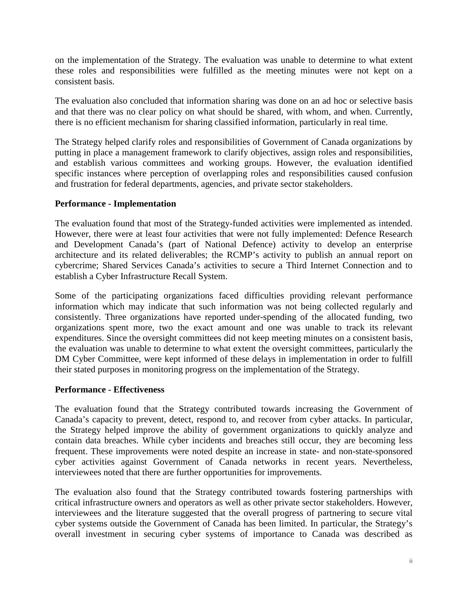on the implementation of the Strategy. The evaluation was unable to determine to what extent these roles and responsibilities were fulfilled as the meeting minutes were not kept on a consistent basis.

The evaluation also concluded that information sharing was done on an ad hoc or selective basis and that there was no clear policy on what should be shared, with whom, and when. Currently, there is no efficient mechanism for sharing classified information, particularly in real time.

The Strategy helped clarify roles and responsibilities of Government of Canada organizations by putting in place a management framework to clarify objectives, assign roles and responsibilities, and establish various committees and working groups. However, the evaluation identified specific instances where perception of overlapping roles and responsibilities caused confusion and frustration for federal departments, agencies, and private sector stakeholders.

#### **Performance - Implementation**

The evaluation found that most of the Strategy-funded activities were implemented as intended. However, there were at least four activities that were not fully implemented: Defence Research and Development Canada's (part of National Defence) activity to develop an enterprise architecture and its related deliverables; the RCMP's activity to publish an annual report on cybercrime; Shared Services Canada's activities to secure a Third Internet Connection and to establish a Cyber Infrastructure Recall System.

Some of the participating organizations faced difficulties providing relevant performance information which may indicate that such information was not being collected regularly and consistently. Three organizations have reported under-spending of the allocated funding, two organizations spent more, two the exact amount and one was unable to track its relevant expenditures. Since the oversight committees did not keep meeting minutes on a consistent basis, the evaluation was unable to determine to what extent the oversight committees, particularly the DM Cyber Committee, were kept informed of these delays in implementation in order to fulfill their stated purposes in monitoring progress on the implementation of the Strategy.

#### **Performance - Effectiveness**

The evaluation found that the Strategy contributed towards increasing the Government of Canada's capacity to prevent, detect, respond to, and recover from cyber attacks. In particular, the Strategy helped improve the ability of government organizations to quickly analyze and contain data breaches. While cyber incidents and breaches still occur, they are becoming less frequent. These improvements were noted despite an increase in state- and non-state-sponsored cyber activities against Government of Canada networks in recent years. Nevertheless, interviewees noted that there are further opportunities for improvements.

The evaluation also found that the Strategy contributed towards fostering partnerships with critical infrastructure owners and operators as well as other private sector stakeholders. However, interviewees and the literature suggested that the overall progress of partnering to secure vital cyber systems outside the Government of Canada has been limited. In particular, the Strategy's overall investment in securing cyber systems of importance to Canada was described as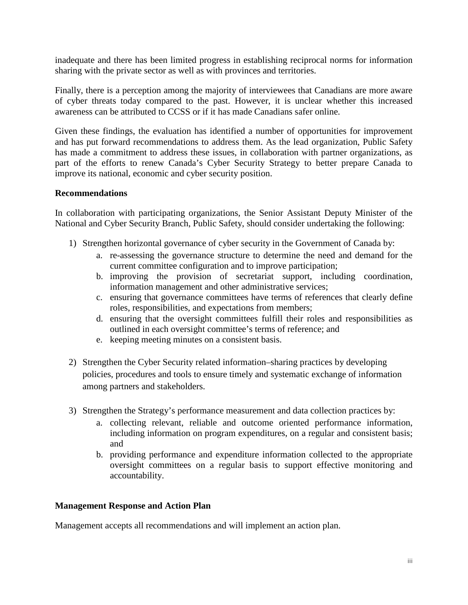inadequate and there has been limited progress in establishing reciprocal norms for information sharing with the private sector as well as with provinces and territories.

Finally, there is a perception among the majority of interviewees that Canadians are more aware of cyber threats today compared to the past. However, it is unclear whether this increased awareness can be attributed to CCSS or if it has made Canadians safer online.

Given these findings, the evaluation has identified a number of opportunities for improvement and has put forward recommendations to address them. As the lead organization, Public Safety has made a commitment to address these issues, in collaboration with partner organizations, as part of the efforts to renew Canada's Cyber Security Strategy to better prepare Canada to improve its national, economic and cyber security position.

#### **Recommendations**

In collaboration with participating organizations, the Senior Assistant Deputy Minister of the National and Cyber Security Branch, Public Safety, should consider undertaking the following:

- 1) Strengthen horizontal governance of cyber security in the Government of Canada by:
	- a. re-assessing the governance structure to determine the need and demand for the current committee configuration and to improve participation;
	- b. improving the provision of secretariat support, including coordination, information management and other administrative services;
	- c. ensuring that governance committees have terms of references that clearly define roles, responsibilities, and expectations from members;
	- d. ensuring that the oversight committees fulfill their roles and responsibilities as outlined in each oversight committee's terms of reference; and
	- e. keeping meeting minutes on a consistent basis.
- 2) Strengthen the Cyber Security related information–sharing practices by developing policies, procedures and tools to ensure timely and systematic exchange of information among partners and stakeholders.
- 3) Strengthen the Strategy's performance measurement and data collection practices by:
	- a. collecting relevant, reliable and outcome oriented performance information, including information on program expenditures, on a regular and consistent basis; and
	- b. providing performance and expenditure information collected to the appropriate oversight committees on a regular basis to support effective monitoring and accountability.

#### **Management Response and Action Plan**

Management accepts all recommendations and will implement an action plan.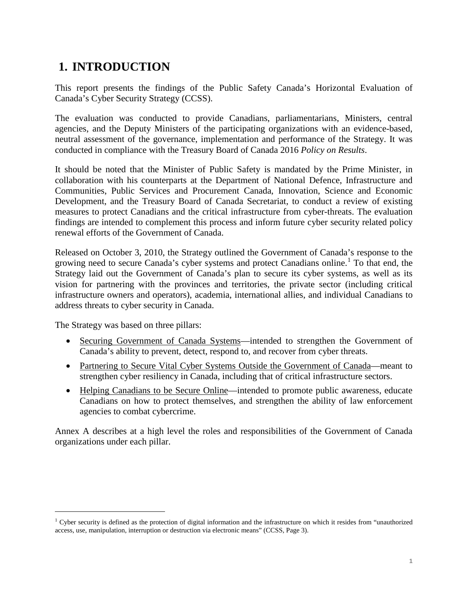## <span id="page-5-0"></span>**1. INTRODUCTION**

This report presents the findings of the Public Safety Canada's Horizontal Evaluation of Canada's Cyber Security Strategy (CCSS).

The evaluation was conducted to provide Canadians, parliamentarians, Ministers, central agencies, and the Deputy Ministers of the participating organizations with an evidence-based, neutral assessment of the governance, implementation and performance of the Strategy. It was conducted in compliance with the Treasury Board of Canada 2016 *Policy on Results*.

It should be noted that the Minister of Public Safety is mandated by the Prime Minister, in collaboration with his counterparts at the Department of National Defence, Infrastructure and Communities, Public Services and Procurement Canada, Innovation, Science and Economic Development, and the Treasury Board of Canada Secretariat, to conduct a review of existing measures to protect Canadians and the critical infrastructure from cyber-threats. The evaluation findings are intended to complement this process and inform future cyber security related policy renewal efforts of the Government of Canada.

Released on October 3, 2010, the Strategy outlined the Government of Canada's response to the growing need to secure Canada's cyber systems and protect Canadians online. [1](#page-1-0) To that end, the Strategy laid out the Government of Canada's plan to secure its cyber systems, as well as its vision for partnering with the provinces and territories, the private sector (including critical infrastructure owners and operators), academia, international allies, and individual Canadians to address threats to cyber security in Canada.

The Strategy was based on three pillars:

<span id="page-5-1"></span> $\overline{a}$ 

- Securing Government of Canada Systems—intended to strengthen the Government of Canada's ability to prevent, detect, respond to, and recover from cyber threats.
- Partnering to Secure Vital Cyber Systems Outside the Government of Canada—meant to strengthen cyber resiliency in Canada, including that of critical infrastructure sectors.
- Helping Canadians to be Secure Online—intended to promote public awareness, educate Canadians on how to protect themselves, and strengthen the ability of law enforcement agencies to combat cybercrime.

Annex A describes at a high level the roles and responsibilities of the Government of Canada organizations under each pillar.

<sup>&</sup>lt;sup>1</sup> Cyber security is defined as the protection of digital information and the infrastructure on which it resides from "unauthorized" access, use, manipulation, interruption or destruction via electronic means" (CCSS, Page 3).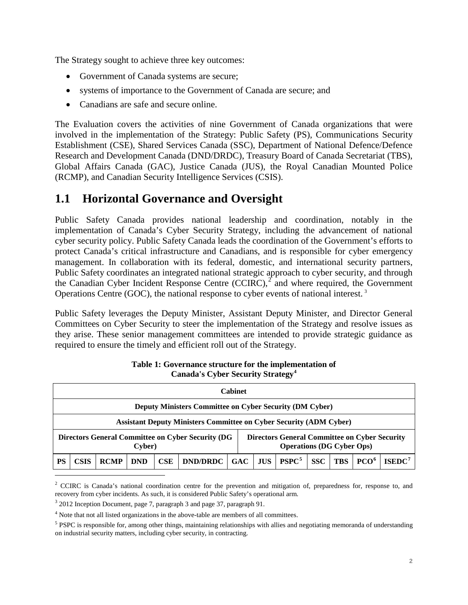The Strategy sought to achieve three key outcomes:

- Government of Canada systems are secure;
- systems of importance to the Government of Canada are secure; and
- Canadians are safe and secure online.

The Evaluation covers the activities of nine Government of Canada organizations that were involved in the implementation of the Strategy: Public Safety (PS), Communications Security Establishment (CSE), Shared Services Canada (SSC), Department of National Defence/Defence Research and Development Canada (DND/DRDC), Treasury Board of Canada Secretariat (TBS), Global Affairs Canada (GAC), Justice Canada (JUS), the Royal Canadian Mounted Police (RCMP), and Canadian Security Intelligence Services (CSIS).

### <span id="page-6-0"></span>**1.1 Horizontal Governance and Oversight**

Public Safety Canada provides national leadership and coordination, notably in the implementation of Canada's Cyber Security Strategy, including the advancement of national cyber security policy. Public Safety Canada leads the coordination of the Government's efforts to protect Canada's critical infrastructure and Canadians, and is responsible for cyber emergency management. In collaboration with its federal, domestic, and international security partners, Public Safety coordinates an integrated national strategic approach to cyber security, and through the Canadian Cyber Incident Response Centre  $(CCIRC)$ , and where required, the Government Operations Centre (GOC), the national response to cyber events of national interest. [3](#page-6-1)

Public Safety leverages the Deputy Minister, Assistant Deputy Minister, and Director General Committees on Cyber Security to steer the implementation of the Strategy and resolve issues as they arise. These senior management committees are intended to provide strategic guidance as required to ensure the timely and efficient roll out of the Strategy.

|    | Cabinet                                                                                                                                                 |             |            |            |                |  |  |             |          |            |            |                  |          |
|----|---------------------------------------------------------------------------------------------------------------------------------------------------------|-------------|------------|------------|----------------|--|--|-------------|----------|------------|------------|------------------|----------|
|    | <b>Deputy Ministers Committee on Cyber Security (DM Cyber)</b>                                                                                          |             |            |            |                |  |  |             |          |            |            |                  |          |
|    | <b>Assistant Deputy Ministers Committee on Cyber Security (ADM Cyber)</b>                                                                               |             |            |            |                |  |  |             |          |            |            |                  |          |
|    | Directors General Committee on Cyber Security (DG<br><b>Directors General Committee on Cyber Security</b><br><b>Operations (DG Cyber Ops)</b><br>Cyber) |             |            |            |                |  |  |             |          |            |            |                  |          |
| PS | <b>CSIS</b>                                                                                                                                             | <b>RCMP</b> | <b>DND</b> | <b>CSE</b> | DND/DRDC   GAC |  |  | $\vert$ JUS | $PSPC^5$ | <b>SSC</b> | <b>TRS</b> | PCO <sup>6</sup> | $ISEDC7$ |
|    |                                                                                                                                                         |             |            |            |                |  |  |             |          |            |            |                  |          |

#### **Table 1: Governance structure for the implementation of Canada's Cyber Security Strategy[4](#page-6-2)**

<span id="page-6-4"></span><sup>&</sup>lt;sup>2</sup> CCIRC is Canada's national coordination centre for the prevention and mitigation of, preparedness for, response to, and recovery from cyber incidents. As such, it is considered Public Safety's operational arm.

<span id="page-6-5"></span><span id="page-6-1"></span><sup>&</sup>lt;sup>3</sup> 2012 Inception Document, page 7, paragraph 3 and page 37, paragraph 91.

<span id="page-6-2"></span><sup>&</sup>lt;sup>4</sup> Note that not all listed organizations in the above-table are members of all committees.

<span id="page-6-3"></span><sup>&</sup>lt;sup>5</sup> PSPC is responsible for, among other things, maintaining relationships with allies and negotiating memoranda of understanding on industrial security matters, including cyber security, in contracting.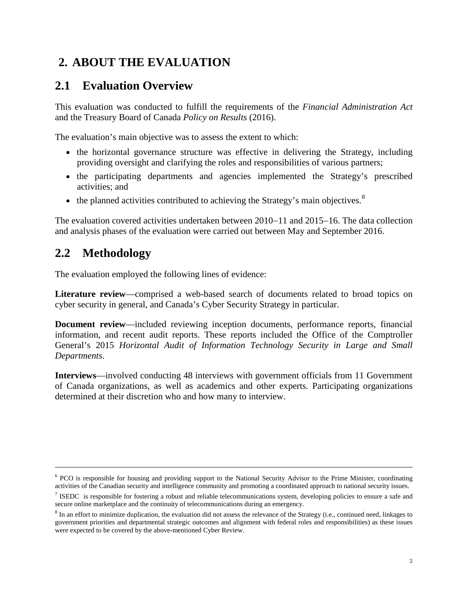## <span id="page-7-0"></span>**2. ABOUT THE EVALUATION**

### <span id="page-7-1"></span>**2.1 Evaluation Overview**

This evaluation was conducted to fulfill the requirements of the *Financial Administration Act* and the Treasury Board of Canada *Policy on Results* (2016).

The evaluation's main objective was to assess the extent to which:

- the horizontal governance structure was effective in delivering the Strategy, including providing oversight and clarifying the roles and responsibilities of various partners;
- the participating departments and agencies implemented the Strategy's prescribed activities; and
- $\bullet$  the planned activities contributed to achieving the Strategy's main objectives.<sup>[8](#page-6-2)</sup>

The evaluation covered activities undertaken between 2010−11 and 2015−16. The data collection and analysis phases of the evaluation were carried out between May and September 2016.

## <span id="page-7-2"></span>**2.2 Methodology**

<span id="page-7-3"></span> $\overline{a}$ 

The evaluation employed the following lines of evidence:

**Literature review**—comprised a web-based search of documents related to broad topics on cyber security in general, and Canada's Cyber Security Strategy in particular.

**Document review—included reviewing inception documents, performance reports, financial** information, and recent audit reports. These reports included the Office of the Comptroller General's 2015 *Horizontal Audit of Information Technology Security in Large and Small Departments*.

**Interviews**—involved conducting 48 interviews with government officials from 11 Government of Canada organizations, as well as academics and other experts. Participating organizations determined at their discretion who and how many to interview.

<sup>6</sup> PCO is responsible for housing and providing support to the National Security Advisor to the Prime Minister, coordinating activities of the Canadian security and intelligence community and promoting a coordinated approach to national security issues.

 $\frac{7}{1}$  ISEDC is responsible for fostering a robust and reliable telecommunications system, developing policies to ensure a safe and secure online marketplace and the continuity of telecommunications during an emergency.

<sup>&</sup>lt;sup>8</sup> In an effort to minimize duplication, the evaluation did not assess the relevance of the Strategy (i.e., continued need, linkages to government priorities and departmental strategic outcomes and alignment with federal roles and responsibilities) as these issues were expected to be covered by the above-mentioned Cyber Review.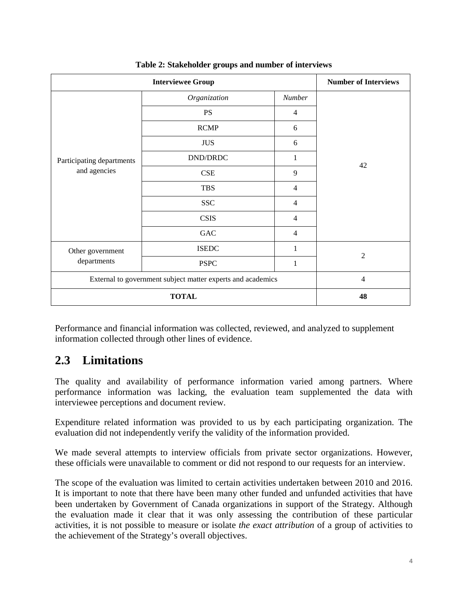|                                                             | <b>Number of Interviews</b>   |                |                |  |
|-------------------------------------------------------------|-------------------------------|----------------|----------------|--|
|                                                             | Organization                  | Number         |                |  |
|                                                             | <b>PS</b>                     | $\overline{4}$ |                |  |
|                                                             | <b>RCMP</b>                   | 6              |                |  |
|                                                             | <b>JUS</b>                    | 6              |                |  |
| Participating departments                                   | DND/DRDC                      | 1              |                |  |
| and agencies                                                | CSE                           | 9              | 42             |  |
|                                                             | <b>TBS</b>                    | $\overline{4}$ |                |  |
|                                                             | <b>SSC</b>                    | $\overline{4}$ |                |  |
|                                                             | <b>CSIS</b>                   | $\overline{4}$ |                |  |
|                                                             | GAC                           | $\overline{4}$ |                |  |
| Other government                                            | $\ensuremath{\mathsf{ISEDC}}$ | 1              |                |  |
| departments                                                 | <b>PSPC</b><br>1              |                | $\overline{2}$ |  |
| External to government subject matter experts and academics | $\overline{4}$                |                |                |  |
|                                                             | <b>TOTAL</b>                  |                | 48             |  |

**Table 2: Stakeholder groups and number of interviews**

Performance and financial information was collected, reviewed, and analyzed to supplement information collected through other lines of evidence.

## <span id="page-8-0"></span>**2.3 Limitations**

The quality and availability of performance information varied among partners. Where performance information was lacking, the evaluation team supplemented the data with interviewee perceptions and document review.

Expenditure related information was provided to us by each participating organization. The evaluation did not independently verify the validity of the information provided.

We made several attempts to interview officials from private sector organizations. However, these officials were unavailable to comment or did not respond to our requests for an interview.

The scope of the evaluation was limited to certain activities undertaken between 2010 and 2016. It is important to note that there have been many other funded and unfunded activities that have been undertaken by Government of Canada organizations in support of the Strategy. Although the evaluation made it clear that it was only assessing the contribution of these particular activities, it is not possible to measure or isolate *the exact attribution* of a group of activities to the achievement of the Strategy's overall objectives.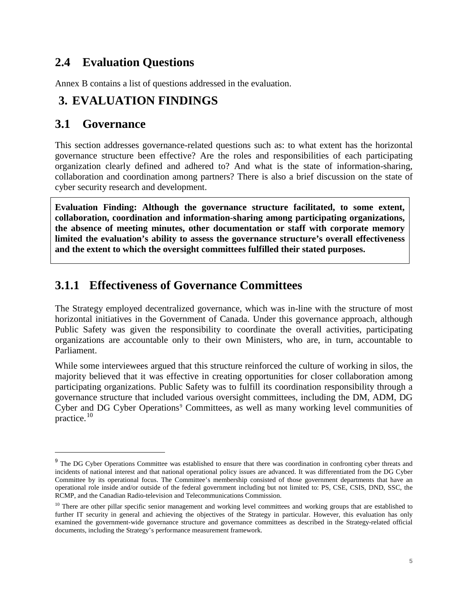## <span id="page-9-0"></span>**2.4 Evaluation Questions**

Annex B contains a list of questions addressed in the evaluation.

## <span id="page-9-1"></span>**3. EVALUATION FINDINGS**

### <span id="page-9-2"></span>**3.1 Governance**

This section addresses governance-related questions such as: to what extent has the horizontal governance structure been effective? Are the roles and responsibilities of each participating organization clearly defined and adhered to? And what is the state of information-sharing, collaboration and coordination among partners? There is also a brief discussion on the state of cyber security research and development.

**Evaluation Finding: Although the governance structure facilitated, to some extent, collaboration, coordination and information-sharing among participating organizations, the absence of meeting minutes, other documentation or staff with corporate memory limited the evaluation's ability to assess the governance structure's overall effectiveness and the extent to which the oversight committees fulfilled their stated purposes.**

### <span id="page-9-3"></span>**3.1.1 Effectiveness of Governance Committees**

The Strategy employed decentralized governance, which was in-line with the structure of most horizontal initiatives in the Government of Canada. Under this governance approach, although Public Safety was given the responsibility to coordinate the overall activities, participating organizations are accountable only to their own Ministers, who are, in turn, accountable to Parliament.

While some interviewees argued that this structure reinforced the culture of working in silos, the majority believed that it was effective in creating opportunities for closer collaboration among participating organizations. Public Safety was to fulfill its coordination responsibility through a governance structure that included various oversight committees, including the DM, ADM, DG Cyber and DG Cyber Operations<sup>[9](#page-7-3)</sup> Committees, as well as many working level communities of practice.[10](#page-9-4)

<sup>&</sup>lt;sup>9</sup> The DG Cyber Operations Committee was established to ensure that there was coordination in confronting cyber threats and incidents of national interest and that national operational policy issues are advanced. It was differentiated from the DG Cyber Committee by its operational focus. The Committee's membership consisted of those government departments that have an operational role inside and/or outside of the federal government including but not limited to: PS, CSE, CSIS, DND, SSC, the RCMP, and the Canadian Radio-television and Telecommunications Commission.

<span id="page-9-5"></span><span id="page-9-4"></span> $10$  There are other pillar specific senior management and working level committees and working groups that are established to further IT security in general and achieving the objectives of the Strategy in particular. However, this evaluation has only examined the government-wide governance structure and governance committees as described in the Strategy-related official documents, including the Strategy's performance measurement framework.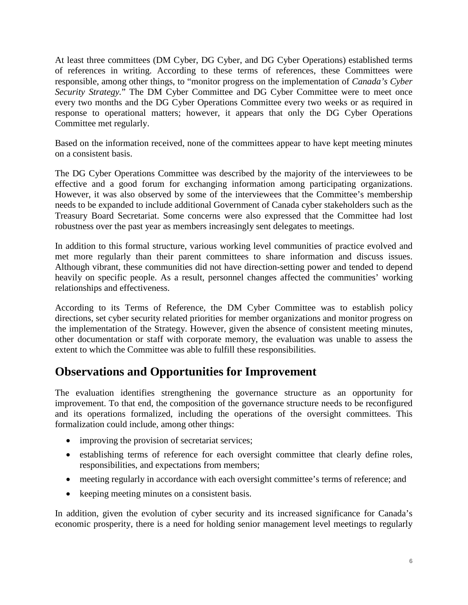At least three committees (DM Cyber, DG Cyber, and DG Cyber Operations) established terms of references in writing. According to these terms of references, these Committees were responsible, among other things, to "monitor progress on the implementation of *Canada's Cyber Security Strategy.*" The DM Cyber Committee and DG Cyber Committee were to meet once every two months and the DG Cyber Operations Committee every two weeks or as required in response to operational matters; however, it appears that only the DG Cyber Operations Committee met regularly.

Based on the information received, none of the committees appear to have kept meeting minutes on a consistent basis.

The DG Cyber Operations Committee was described by the majority of the interviewees to be effective and a good forum for exchanging information among participating organizations. However, it was also observed by some of the interviewees that the Committee's membership needs to be expanded to include additional Government of Canada cyber stakeholders such as the Treasury Board Secretariat. Some concerns were also expressed that the Committee had lost robustness over the past year as members increasingly sent delegates to meetings.

In addition to this formal structure, various working level communities of practice evolved and met more regularly than their parent committees to share information and discuss issues. Although vibrant, these communities did not have direction-setting power and tended to depend heavily on specific people. As a result, personnel changes affected the communities' working relationships and effectiveness.

According to its Terms of Reference, the DM Cyber Committee was to establish policy directions, set cyber security related priorities for member organizations and monitor progress on the implementation of the Strategy. However, given the absence of consistent meeting minutes, other documentation or staff with corporate memory, the evaluation was unable to assess the extent to which the Committee was able to fulfill these responsibilities.

### **Observations and Opportunities for Improvement**

The evaluation identifies strengthening the governance structure as an opportunity for improvement. To that end, the composition of the governance structure needs to be reconfigured and its operations formalized, including the operations of the oversight committees. This formalization could include, among other things:

- improving the provision of secretariat services;
- establishing terms of reference for each oversight committee that clearly define roles, responsibilities, and expectations from members;
- meeting regularly in accordance with each oversight committee's terms of reference; and
- keeping meeting minutes on a consistent basis.

In addition, given the evolution of cyber security and its increased significance for Canada's economic prosperity, there is a need for holding senior management level meetings to regularly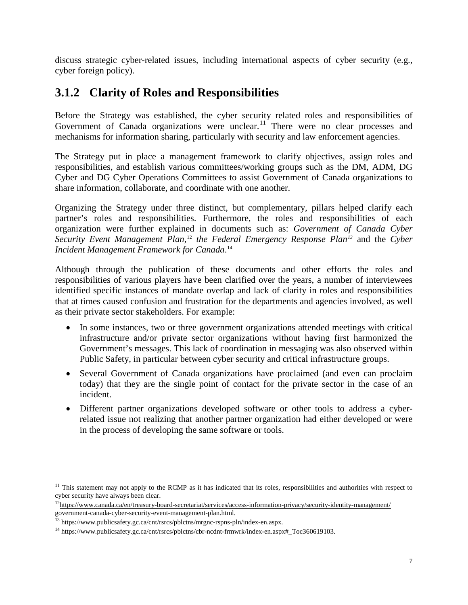discuss strategic cyber-related issues, including international aspects of cyber security (e.g., cyber foreign policy).

## <span id="page-11-0"></span>**3.1.2 Clarity of Roles and Responsibilities**

Before the Strategy was established, the cyber security related roles and responsibilities of Government of Canada organizations were unclear.<sup>[11](#page-9-5)</sup> There were no clear processes and mechanisms for information sharing, particularly with security and law enforcement agencies.

The Strategy put in place a management framework to clarify objectives, assign roles and responsibilities, and establish various committees/working groups such as the DM, ADM, DG Cyber and DG Cyber Operations Committees to assist Government of Canada organizations to share information, collaborate, and coordinate with one another.

Organizing the Strategy under three distinct, but complementary, pillars helped clarify each partner's roles and responsibilities. Furthermore, the roles and responsibilities of each organization were further explained in documents such as: *Government of Canada Cyber Security Event Management Plan*, [12](#page-11-1) *the Federal Emergency Response Plan[13](#page-11-2)* and the *Cyber Incident Management Framework for Canada*. [14](#page-11-3)

Although through the publication of these documents and other efforts the roles and responsibilities of various players have been clarified over the years, a number of interviewees identified specific instances of mandate overlap and lack of clarity in roles and responsibilities that at times caused confusion and frustration for the departments and agencies involved, as well as their private sector stakeholders. For example:

- In some instances, two or three government organizations attended meetings with critical infrastructure and/or private sector organizations without having first harmonized the Government's messages. This lack of coordination in messaging was also observed within Public Safety, in particular between cyber security and critical infrastructure groups.
- <span id="page-11-4"></span>• Several Government of Canada organizations have proclaimed (and even can proclaim today) that they are the single point of contact for the private sector in the case of an incident.
- Different partner organizations developed software or other tools to address a cyberrelated issue not realizing that another partner organization had either developed or were in the process of developing the same software or tools.

-

 $11$  This statement may not apply to the RCMP as it has indicated that its roles, responsibilities and authorities with respect to cyber security have always been clear.

<span id="page-11-1"></span> $12$ https://www.canada.ca/en/treasury-board-secretariat/services/access-information-privacy/security-identity-management/ government-canada-cyber-security-event-management-plan.html.

<span id="page-11-2"></span><sup>13</sup> https://www.publicsafety.gc.ca/cnt/rsrcs/pblctns/mrgnc-rspns-pln/index-en.aspx.

<span id="page-11-3"></span><sup>14</sup> https://www.publicsafety.gc.ca/cnt/rsrcs/pblctns/cbr-ncdnt-frmwrk/index-en.aspx#\_Toc360619103.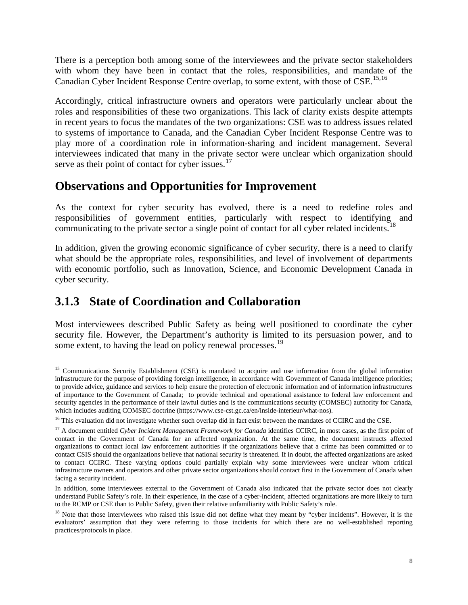There is a perception both among some of the interviewees and the private sector stakeholders with whom they have been in contact that the roles, responsibilities, and mandate of the Canadian Cyber Incident Response Centre overlap, to some extent, with those of CSE. [15](#page-11-4),[16](#page-12-1)

Accordingly, critical infrastructure owners and operators were particularly unclear about the roles and responsibilities of these two organizations. This lack of clarity exists despite attempts in recent years to focus the mandates of the two organizations: CSE was to address issues related to systems of importance to Canada, and the Canadian Cyber Incident Response Centre was to play more of a coordination role in information-sharing and incident management. Several interviewees indicated that many in the private sector were unclear which organization should serve as their point of contact for cyber issues.<sup>[17](#page-12-2)</sup>

### **Observations and Opportunities for Improvement**

As the context for cyber security has evolved, there is a need to redefine roles and responsibilities of government entities, particularly with respect to identifying and communicating to the private sector a single point of contact for all cyber related incidents.<sup>[18](#page-12-3)</sup>

In addition, given the growing economic significance of cyber security, there is a need to clarify what should be the appropriate roles, responsibilities, and level of involvement of departments with economic portfolio, such as Innovation, Science, and Economic Development Canada in cyber security.

### <span id="page-12-0"></span>**3.1.3 State of Coordination and Collaboration**

 $\overline{a}$ 

Most interviewees described Public Safety as being well positioned to coordinate the cyber security file. However, the Department's authority is limited to its persuasion power, and to some extent, to having the lead on policy renewal processes.<sup>[19](#page-12-4)</sup>

<sup>&</sup>lt;sup>15</sup> Communications Security Establishment (CSE) is mandated to acquire and use information from the global information infrastructure for the purpose of providing foreign intelligence, in accordance with Government of Canada intelligence priorities; to provide advice, guidance and services to help ensure the protection of electronic information and of information infrastructures of importance to the Government of Canada; to provide technical and operational assistance to federal law enforcement and security agencies in the performance of their lawful duties and is the communications security (COMSEC) authority for Canada, which includes auditing COMSEC doctrine (https://www.cse-cst.gc.ca/en/inside-interieur/what-nos).

<span id="page-12-1"></span><sup>&</sup>lt;sup>16</sup> This evaluation did not investigate whether such overlap did in fact exist between the mandates of CCIRC and the CSE.

<span id="page-12-2"></span><sup>&</sup>lt;sup>17</sup> A document entitled *Cyber Incident Management Framework for Canada* identifies CCIRC, in most cases, as the first point of contact in the Government of Canada for an affected organization. At the same time, the document instructs affected organizations to contact local law enforcement authorities if the organizations believe that a crime has been committed or to contact CSIS should the organizations believe that national security is threatened. If in doubt, the affected organizations are asked to contact CCIRC. These varying options could partially explain why some interviewees were unclear whom critical infrastructure owners and operators and other private sector organizations should contact first in the Government of Canada when facing a security incident.

<span id="page-12-5"></span><span id="page-12-4"></span>In addition, some interviewees external to the Government of Canada also indicated that the private sector does not clearly understand Public Safety's role. In their experience, in the case of a cyber-incident, affected organizations are more likely to turn to the RCMP or CSE than to Public Safety, given their relative unfamiliarity with Public Safety's role.

<span id="page-12-3"></span><sup>&</sup>lt;sup>18</sup> Note that those interviewees who raised this issue did not define what they meant by "cyber incidents". However, it is the evaluators' assumption that they were referring to those incidents for which there are no well-established reporting practices/protocols in place.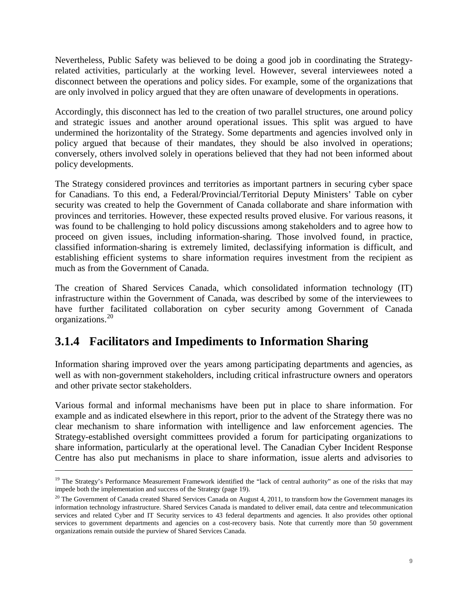Nevertheless, Public Safety was believed to be doing a good job in coordinating the Strategyrelated activities, particularly at the working level. However, several interviewees noted a disconnect between the operations and policy sides. For example, some of the organizations that are only involved in policy argued that they are often unaware of developments in operations.

Accordingly, this disconnect has led to the creation of two parallel structures, one around policy and strategic issues and another around operational issues. This split was argued to have undermined the horizontality of the Strategy. Some departments and agencies involved only in policy argued that because of their mandates, they should be also involved in operations; conversely, others involved solely in operations believed that they had not been informed about policy developments.

The Strategy considered provinces and territories as important partners in securing cyber space for Canadians. To this end, a Federal/Provincial/Territorial Deputy Ministers' Table on cyber security was created to help the Government of Canada collaborate and share information with provinces and territories. However, these expected results proved elusive. For various reasons, it was found to be challenging to hold policy discussions among stakeholders and to agree how to proceed on given issues, including information-sharing. Those involved found, in practice, classified information-sharing is extremely limited, declassifying information is difficult, and establishing efficient systems to share information requires investment from the recipient as much as from the Government of Canada.

The creation of Shared Services Canada, which consolidated information technology (IT) infrastructure within the Government of Canada, was described by some of the interviewees to have further facilitated collaboration on cyber security among Government of Canada organizations. [20](#page-12-5)

## <span id="page-13-0"></span>**3.1.4 Facilitators and Impediments to Information Sharing**

Information sharing improved over the years among participating departments and agencies, as well as with non-government stakeholders, including critical infrastructure owners and operators and other private sector stakeholders.

Various formal and informal mechanisms have been put in place to share information. For example and as indicated elsewhere in this report, prior to the advent of the Strategy there was no clear mechanism to share information with intelligence and law enforcement agencies. The Strategy-established oversight committees provided a forum for participating organizations to share information, particularly at the operational level. The Canadian Cyber Incident Response Centre has also put mechanisms in place to share information, issue alerts and advisories to

-

<span id="page-13-1"></span><sup>&</sup>lt;sup>19</sup> The Strategy's Performance Measurement Framework identified the "lack of central authority" as one of the risks that may impede both the implementation and success of the Strategy (page 19).

 $20$  The Government of Canada created Shared Services Canada on August 4, 2011, to transform how the Government manages its information technology infrastructure. Shared Services Canada is mandated to deliver email, data centre and telecommunication services and related Cyber and IT Security services to 43 federal departments and agencies. It also provides other optional services to government departments and agencies on a cost-recovery basis. Note that currently more than 50 government organizations remain outside the purview of Shared Services Canada.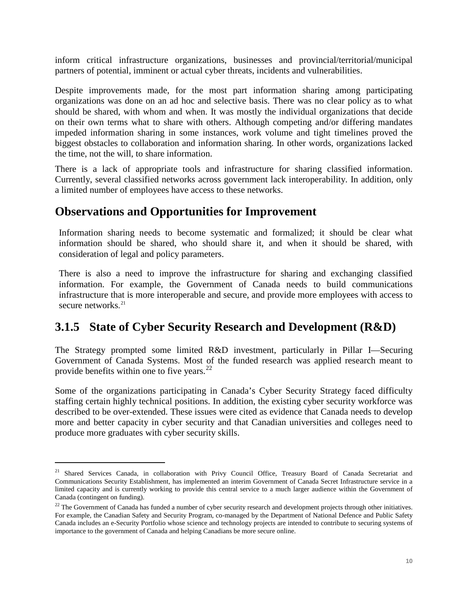inform critical infrastructure organizations, businesses and provincial/territorial/municipal partners of potential, imminent or actual cyber threats, incidents and vulnerabilities.

Despite improvements made, for the most part information sharing among participating organizations was done on an ad hoc and selective basis. There was no clear policy as to what should be shared, with whom and when. It was mostly the individual organizations that decide on their own terms what to share with others. Although competing and/or differing mandates impeded information sharing in some instances, work volume and tight timelines proved the biggest obstacles to collaboration and information sharing. In other words, organizations lacked the time, not the will, to share information.

There is a lack of appropriate tools and infrastructure for sharing classified information. Currently, several classified networks across government lack interoperability. In addition, only a limited number of employees have access to these networks.

### **Observations and Opportunities for Improvement**

 $\overline{a}$ 

Information sharing needs to become systematic and formalized; it should be clear what information should be shared, who should share it, and when it should be shared, with consideration of legal and policy parameters.

There is also a need to improve the infrastructure for sharing and exchanging classified information. For example, the Government of Canada needs to build communications infrastructure that is more interoperable and secure, and provide more employees with access to secure networks. [21](#page-13-1)

### <span id="page-14-0"></span>**3.1.5 State of Cyber Security Research and Development (R&D)**

The Strategy prompted some limited R&D investment, particularly in Pillar I—Securing Government of Canada Systems. Most of the funded research was applied research meant to provide benefits within one to five years.<sup>[22](#page-14-1)</sup>

Some of the organizations participating in Canada's Cyber Security Strategy faced difficulty staffing certain highly technical positions. In addition, the existing cyber security workforce was described to be over-extended. These issues were cited as evidence that Canada needs to develop more and better capacity in cyber security and that Canadian universities and colleges need to produce more graduates with cyber security skills.

<sup>&</sup>lt;sup>21</sup> Shared Services Canada, in collaboration with Privy Council Office, Treasury Board of Canada Secretariat and Communications Security Establishment, has implemented an interim Government of Canada Secret Infrastructure service in a limited capacity and is currently working to provide this central service to a much larger audience within the Government of Canada (contingent on funding).

<span id="page-14-2"></span><span id="page-14-1"></span><sup>&</sup>lt;sup>22</sup> The Government of Canada has funded a number of cyber security research and development projects through other initiatives. For example, the Canadian Safety and Security Program, co-managed by the Department of National Defence and Public Safety Canada includes an e-Security Portfolio whose science and technology projects are intended to contribute to securing systems of importance to the government of Canada and helping Canadians be more secure online.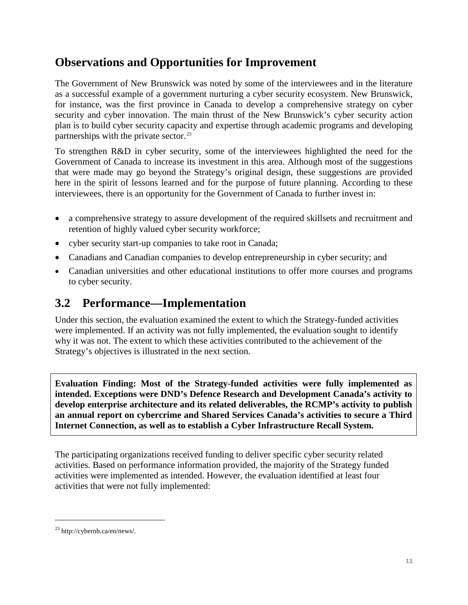## **Observations and Opportunities for Improvement**

The Government of New Brunswick was noted by some of the interviewees and in the literature as a successful example of a government nurturing a cyber security ecosystem. New Brunswick, for instance, was the first province in Canada to develop a comprehensive strategy on cyber security and cyber innovation. The main thrust of the New Brunswick's cyber security action plan is to build cyber security capacity and expertise through academic programs and developing partnerships with the private sector. $^{23}$  $^{23}$  $^{23}$ 

To strengthen R&D in cyber security, some of the interviewees highlighted the need for the Government of Canada to increase its investment in this area. Although most of the suggestions that were made may go beyond the Strategy's original design, these suggestions are provided here in the spirit of lessons learned and for the purpose of future planning. According to these interviewees, there is an opportunity for the Government of Canada to further invest in:

- a comprehensive strategy to assure development of the required skillsets and recruitment and retention of highly valued cyber security workforce;
- cyber security start-up companies to take root in Canada;
- Canadians and Canadian companies to develop entrepreneurship in cyber security; and
- Canadian universities and other educational institutions to offer more courses and programs to cyber security.

### <span id="page-15-0"></span>**3.2 Performance—Implementation**

Under this section, the evaluation examined the extent to which the Strategy-funded activities were implemented. If an activity was not fully implemented, the evaluation sought to identify why it was not. The extent to which these activities contributed to the achievement of the Strategy's objectives is illustrated in the next section.

**Evaluation Finding: Most of the Strategy-funded activities were fully implemented as intended. Exceptions were DND's Defence Research and Development Canada's activity to develop enterprise architecture and its related deliverables, the RCMP's activity to publish an annual report on cybercrime and Shared Services Canada's activities to secure a Third Internet Connection, as well as to establish a Cyber Infrastructure Recall System.** 

The participating organizations received funding to deliver specific cyber security related activities. Based on performance information provided, the majority of the Strategy funded activities were implemented as intended. However, the evaluation identified at least four activities that were not fully implemented:

<span id="page-15-1"></span><sup>23</sup> http://cybernb.ca/en/news/.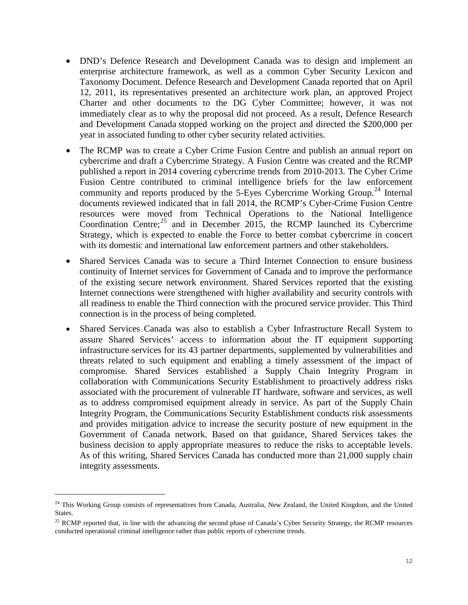- DND's Defence Research and Development Canada was to design and implement an enterprise architecture framework, as well as a common Cyber Security Lexicon and Taxonomy Document. Defence Research and Development Canada reported that on April 12, 2011, its representatives presented an architecture work plan, an approved Project Charter and other documents to the DG Cyber Committee; however, it was not immediately clear as to why the proposal did not proceed. As a result, Defence Research and Development Canada stopped working on the project and directed the \$200,000 per year in associated funding to other cyber security related activities.
- The RCMP was to create a Cyber Crime Fusion Centre and publish an annual report on cybercrime and draft a Cybercrime Strategy. A Fusion Centre was created and the RCMP published a report in 2014 covering cybercrime trends from 2010-2013. The Cyber Crime Fusion Centre contributed to criminal intelligence briefs for the law enforcement community and reports produced by the 5-Eyes Cybercrime Working Group.<sup>[24](#page-15-1)</sup> Internal documents reviewed indicated that in fall 2014, the RCMP's Cyber-Crime Fusion Centre resources were moved from Technical Operations to the National Intelligence Coordination Centre;<sup>[25](#page-16-0)</sup> and in December 2015, the RCMP launched its Cybercrime Strategy, which is expected to enable the Force to better combat cybercrime in concert with its domestic and international law enforcement partners and other stakeholders.
- Shared Services Canada was to secure a Third Internet Connection to ensure business continuity of Internet services for Government of Canada and to improve the performance of the existing secure network environment. Shared Services reported that the existing Internet connections were strengthened with higher availability and security controls with all readiness to enable the Third connection with the procured service provider. This Third connection is in the process of being completed.
- Shared Services Canada was also to establish a Cyber Infrastructure Recall System to assure Shared Services' access to information about the IT equipment supporting infrastructure services for its 43 partner departments, supplemented by vulnerabilities and threats related to such equipment and enabling a timely assessment of the impact of compromise. Shared Services established a Supply Chain Integrity Program in collaboration with Communications Security Establishment to proactively address risks associated with the procurement of vulnerable IT hardware, software and services, as well as to address compromised equipment already in service. As part of the Supply Chain Integrity Program, the Communications Security Establishment conducts risk assessments and provides mitigation advice to increase the security posture of new equipment in the Government of Canada network. Based on that guidance, Shared Services takes the business decision to apply appropriate measures to reduce the risks to acceptable levels. As of this writing, Shared Services Canada has conducted more than 21,000 supply chain integrity assessments.

<span id="page-16-1"></span><sup>&</sup>lt;sup>24</sup> This Working Group consists of representatives from Canada, [Australia,](https://en.wikipedia.org/wiki/Australia) [New Zealand,](https://en.wikipedia.org/wiki/New_Zealand) the [United Kingdom,](https://en.wikipedia.org/wiki/United_Kingdom) and the United [States.](https://en.wikipedia.org/wiki/United_States)

<span id="page-16-0"></span><sup>&</sup>lt;sup>25</sup> RCMP reported that, in line with the advancing the second phase of Canada's Cyber Security Strategy, the RCMP resources conducted operational criminal intelligence rather than public reports of cybercrime trends.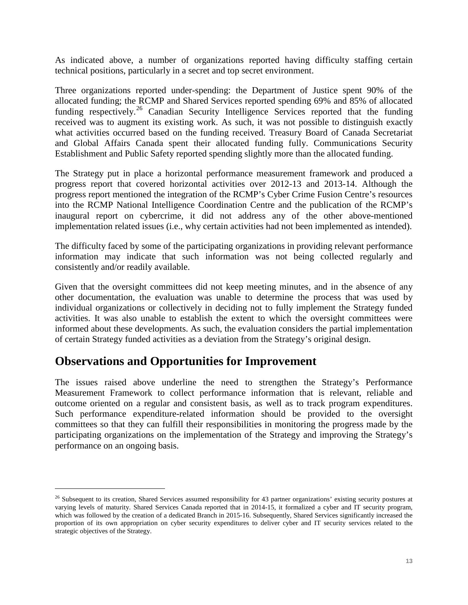As indicated above, a number of organizations reported having difficulty staffing certain technical positions, particularly in a secret and top secret environment.

Three organizations reported under-spending: the Department of Justice spent 90% of the allocated funding; the RCMP and Shared Services reported spending 69% and 85% of allocated funding respectively.<sup>[26](#page-16-1)</sup> Canadian Security Intelligence Services reported that the funding received was to augment its existing work. As such, it was not possible to distinguish exactly what activities occurred based on the funding received. Treasury Board of Canada Secretariat and Global Affairs Canada spent their allocated funding fully. Communications Security Establishment and Public Safety reported spending slightly more than the allocated funding.

The Strategy put in place a horizontal performance measurement framework and produced a progress report that covered horizontal activities over 2012-13 and 2013-14. Although the progress report mentioned the integration of the RCMP's Cyber Crime Fusion Centre's resources into the RCMP National Intelligence Coordination Centre and the publication of the RCMP's inaugural report on cybercrime, it did not address any of the other above-mentioned implementation related issues (i.e., why certain activities had not been implemented as intended).

The difficulty faced by some of the participating organizations in providing relevant performance information may indicate that such information was not being collected regularly and consistently and/or readily available.

Given that the oversight committees did not keep meeting minutes, and in the absence of any other documentation, the evaluation was unable to determine the process that was used by individual organizations or collectively in deciding not to fully implement the Strategy funded activities. It was also unable to establish the extent to which the oversight committees were informed about these developments. As such, the evaluation considers the partial implementation of certain Strategy funded activities as a deviation from the Strategy's original design.

### **Observations and Opportunities for Improvement**

-

The issues raised above underline the need to strengthen the Strategy's Performance Measurement Framework to collect performance information that is relevant, reliable and outcome oriented on a regular and consistent basis, as well as to track program expenditures. Such performance expenditure-related information should be provided to the oversight committees so that they can fulfill their responsibilities in monitoring the progress made by the participating organizations on the implementation of the Strategy and improving the Strategy's performance on an ongoing basis.

<span id="page-17-0"></span><sup>&</sup>lt;sup>26</sup> Subsequent to its creation, Shared Services assumed responsibility for 43 partner organizations' existing security postures at varying levels of maturity. Shared Services Canada reported that in 2014-15, it formalized a cyber and IT security program, which was followed by the creation of a dedicated Branch in 2015-16. Subsequently, Shared Services significantly increased the proportion of its own appropriation on cyber security expenditures to deliver cyber and IT security services related to the strategic objectives of the Strategy.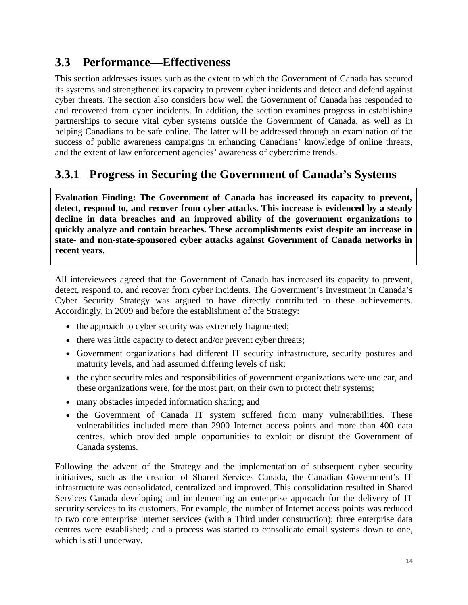### <span id="page-18-0"></span>**3.3 Performance—Effectiveness**

This section addresses issues such as the extent to which the Government of Canada has secured its systems and strengthened its capacity to prevent cyber incidents and detect and defend against cyber threats. The section also considers how well the Government of Canada has responded to and recovered from cyber incidents. In addition, the section examines progress in establishing partnerships to secure vital cyber systems outside the Government of Canada, as well as in helping Canadians to be safe online. The latter will be addressed through an examination of the success of public awareness campaigns in enhancing Canadians' knowledge of online threats, and the extent of law enforcement agencies' awareness of cybercrime trends.

## <span id="page-18-1"></span>**3.3.1 Progress in Securing the Government of Canada's Systems**

**Evaluation Finding: The Government of Canada has increased its capacity to prevent, detect, respond to, and recover from cyber attacks. This increase is evidenced by a steady decline in data breaches and an improved ability of the government organizations to quickly analyze and contain breaches. These accomplishments exist despite an increase in state- and non-state-sponsored cyber attacks against Government of Canada networks in recent years.** 

All interviewees agreed that the Government of Canada has increased its capacity to prevent, detect, respond to, and recover from cyber incidents. The Government's investment in Canada's Cyber Security Strategy was argued to have directly contributed to these achievements. Accordingly, in 2009 and before the establishment of the Strategy:

- the approach to cyber security was extremely fragmented;
- there was little capacity to detect and/or prevent cyber threats;
- Government organizations had different IT security infrastructure, security postures and maturity levels, and had assumed differing levels of risk;
- the cyber security roles and responsibilities of government organizations were unclear, and these organizations were, for the most part, on their own to protect their systems;
- many obstacles impeded information sharing; and
- the Government of Canada IT system suffered from many vulnerabilities. These vulnerabilities included more than 2900 Internet access points and more than 400 data centres, which provided ample opportunities to exploit or disrupt the Government of Canada systems.

Following the advent of the Strategy and the implementation of subsequent cyber security initiatives, such as the creation of Shared Services Canada, the Canadian Government's IT infrastructure was consolidated, centralized and improved. This consolidation resulted in Shared Services Canada developing and implementing an enterprise approach for the delivery of IT security services to its customers. For example, the number of Internet access points was reduced to two core enterprise Internet services (with a Third under construction); three enterprise data centres were established; and a process was started to consolidate email systems down to one, which is still underway.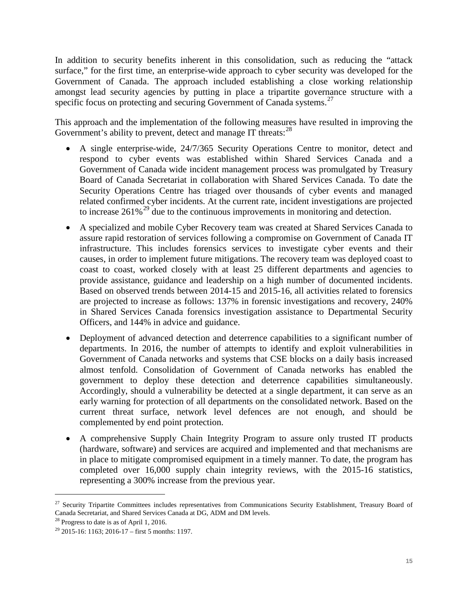In addition to security benefits inherent in this consolidation, such as reducing the "attack surface," for the first time, an enterprise-wide approach to cyber security was developed for the Government of Canada. The approach included establishing a close working relationship amongst lead security agencies by putting in place a tripartite governance structure with a specific focus on protecting and securing Government of Canada systems.<sup>[27](#page-17-0)</sup>

This approach and the implementation of the following measures have resulted in improving the Government's ability to prevent, detect and manage IT threats:<sup>[28](#page-19-0)</sup>

- A single enterprise-wide, 24/7/365 Security Operations Centre to monitor, detect and respond to cyber events was established within Shared Services Canada and a Government of Canada wide incident management process was promulgated by Treasury Board of Canada Secretariat in collaboration with Shared Services Canada. To date the Security Operations Centre has triaged over thousands of cyber events and managed related confirmed cyber incidents. At the current rate, incident investigations are projected to increase  $261\%^{29}$  $261\%^{29}$  $261\%^{29}$  due to the continuous improvements in monitoring and detection.
- A specialized and mobile Cyber Recovery team was created at Shared Services Canada to assure rapid restoration of services following a compromise on Government of Canada IT infrastructure. This includes forensics services to investigate cyber events and their causes, in order to implement future mitigations. The recovery team was deployed coast to coast to coast, worked closely with at least 25 different departments and agencies to provide assistance, guidance and leadership on a high number of documented incidents. Based on observed trends between 2014-15 and 2015-16, all activities related to forensics are projected to increase as follows: 137% in forensic investigations and recovery, 240% in Shared Services Canada forensics investigation assistance to Departmental Security Officers, and 144% in advice and guidance.
- Deployment of advanced detection and deterrence capabilities to a significant number of departments. In 2016, the number of attempts to identify and exploit vulnerabilities in Government of Canada networks and systems that CSE blocks on a daily basis increased almost tenfold. Consolidation of Government of Canada networks has enabled the government to deploy these detection and deterrence capabilities simultaneously. Accordingly, should a vulnerability be detected at a single department, it can serve as an early warning for protection of all departments on the consolidated network. Based on the current threat surface, network level defences are not enough, and should be complemented by end point protection.
- A comprehensive Supply Chain Integrity Program to assure only trusted IT products (hardware, software) and services are acquired and implemented and that mechanisms are in place to mitigate compromised equipment in a timely manner. To date, the program has completed over 16,000 supply chain integrity reviews, with the 2015-16 statistics, representing a 300% increase from the previous year.

<span id="page-19-2"></span> $27$  Security Tripartite Committees includes representatives from Communications Security Establishment, Treasury Board of Canada Secretariat, and Shared Services Canada at DG, ADM and DM levels.

<span id="page-19-0"></span> $28$  Progress to date is as of April 1, 2016.

<span id="page-19-1"></span> $29$  2015-16: 1163: 2016-17 – first 5 months: 1197.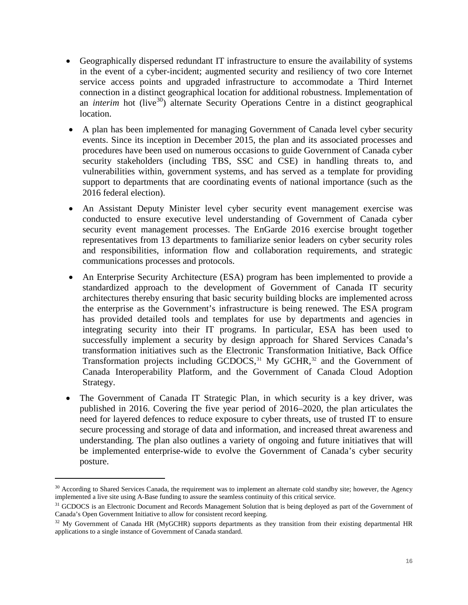- Geographically dispersed redundant IT infrastructure to ensure the availability of systems in the event of a cyber-incident; augmented security and resiliency of two core Internet service access points and upgraded infrastructure to accommodate a Third Internet connection in a distinct geographical location for additional robustness. Implementation of an *interim* hot (live<sup>[30](#page-19-2)</sup>) alternate Security Operations Centre in a distinct geographical location.
- A plan has been implemented for managing Government of Canada level cyber security events. Since its inception in December 2015, the plan and its associated processes and procedures have been used on numerous occasions to guide Government of Canada cyber security stakeholders (including TBS, SSC and CSE) in handling threats to, and vulnerabilities within, government systems, and has served as a template for providing support to departments that are coordinating events of national importance (such as the 2016 federal election).
- An Assistant Deputy Minister level cyber security event management exercise was conducted to ensure executive level understanding of Government of Canada cyber security event management processes. The EnGarde 2016 exercise brought together representatives from 13 departments to familiarize senior leaders on cyber security roles and responsibilities, information flow and collaboration requirements, and strategic communications processes and protocols.
- An Enterprise Security Architecture (ESA) program has been implemented to provide a standardized approach to the development of Government of Canada IT security architectures thereby ensuring that basic security building blocks are implemented across the enterprise as the Government's infrastructure is being renewed. The ESA program has provided detailed tools and templates for use by departments and agencies in integrating security into their IT programs. In particular, ESA has been used to successfully implement a security by design approach for Shared Services Canada's transformation initiatives such as the Electronic Transformation Initiative, Back Office Transformation projects including  $GCDOCS$ ,<sup>[31](#page-20-0)</sup> My  $GCHR$ ,<sup>[32](#page-20-1)</sup> and the Government of Canada Interoperability Platform, and the Government of Canada Cloud Adoption Strategy.
- The Government of Canada IT Strategic Plan, in which security is a key driver, was published in 2016. Covering the five year period of 2016–2020, the plan articulates the need for layered defences to reduce exposure to cyber threats, use of trusted IT to ensure secure processing and storage of data and information, and increased threat awareness and understanding. The plan also outlines a variety of ongoing and future initiatives that will be implemented enterprise-wide to evolve the Government of Canada's cyber security posture.

<span id="page-20-2"></span> $30$  According to Shared Services Canada, the requirement was to implement an alternate cold standby site; however, the Agency implemented a live site using A-Base funding to assure the seamless continuity of this critical service.

<span id="page-20-0"></span><sup>&</sup>lt;sup>31</sup> GCDOCS is an Electronic Document and Records Management Solution that is being deployed as part of the Government of Canada's Open Government Initiative to allow for consistent record keeping.

<span id="page-20-1"></span><sup>&</sup>lt;sup>32</sup> My Government of Canada HR (MyGCHR) supports departments as they transition from their existing departmental HR applications to a single instance of Government of Canada standard.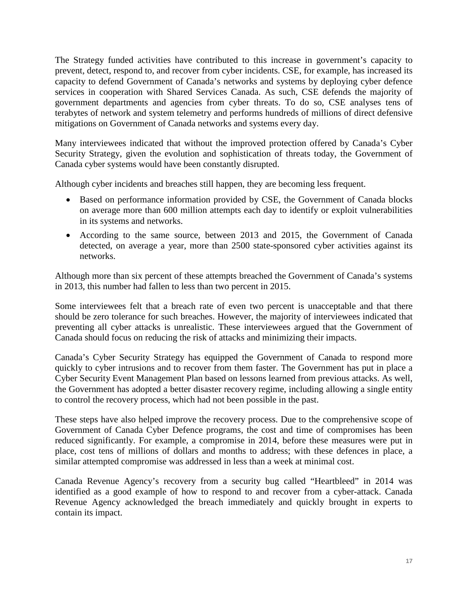The Strategy funded activities have contributed to this increase in government's capacity to prevent, detect, respond to, and recover from cyber incidents. CSE, for example, has increased its capacity to defend Government of Canada's networks and systems by deploying cyber defence services in cooperation with Shared Services Canada. As such, CSE defends the majority of government departments and agencies from cyber threats. To do so, CSE analyses tens of terabytes of network and system telemetry and performs hundreds of millions of direct defensive mitigations on Government of Canada networks and systems every day.

Many interviewees indicated that without the improved protection offered by Canada's Cyber Security Strategy, given the evolution and sophistication of threats today, the Government of Canada cyber systems would have been constantly disrupted.

Although cyber incidents and breaches still happen, they are becoming less frequent.

- Based on performance information provided by CSE, the Government of Canada blocks on average more than 600 million attempts each day to identify or exploit vulnerabilities in its systems and networks.
- According to the same source, between 2013 and 2015, the Government of Canada detected, on average a year, more than 2500 state-sponsored cyber activities against its networks.

Although more than six percent of these attempts breached the Government of Canada's systems in 2013, this number had fallen to less than two percent in 2015.

Some interviewees felt that a breach rate of even two percent is unacceptable and that there should be zero tolerance for such breaches. However, the majority of interviewees indicated that preventing all cyber attacks is unrealistic. These interviewees argued that the Government of Canada should focus on reducing the risk of attacks and minimizing their impacts.

Canada's Cyber Security Strategy has equipped the Government of Canada to respond more quickly to cyber intrusions and to recover from them faster. The Government has put in place a Cyber Security Event Management Plan based on lessons learned from previous attacks. As well, the Government has adopted a better disaster recovery regime, including allowing a single entity to control the recovery process, which had not been possible in the past.

These steps have also helped improve the recovery process. Due to the comprehensive scope of Government of Canada Cyber Defence programs, the cost and time of compromises has been reduced significantly. For example, a compromise in 2014, before these measures were put in place, cost tens of millions of dollars and months to address; with these defences in place, a similar attempted compromise was addressed in less than a week at minimal cost.

Canada Revenue Agency's recovery from a security bug called "Heartbleed" in 2014 was identified as a good example of how to respond to and recover from a cyber-attack. Canada Revenue Agency acknowledged the breach immediately and quickly brought in experts to contain its impact.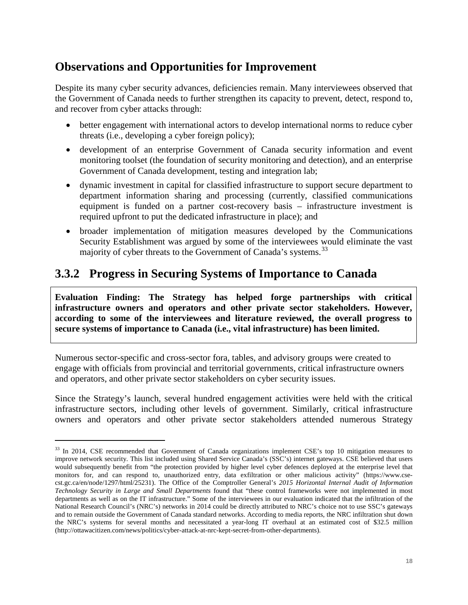## **Observations and Opportunities for Improvement**

Despite its many cyber security advances, deficiencies remain. Many interviewees observed that the Government of Canada needs to further strengthen its capacity to prevent, detect, respond to, and recover from cyber attacks through:

- better engagement with international actors to develop international norms to reduce cyber threats (i.e., developing a cyber foreign policy);
- development of an enterprise Government of Canada security information and event monitoring toolset (the foundation of security monitoring and detection), and an enterprise Government of Canada development, testing and integration lab;
- dynamic investment in capital for classified infrastructure to support secure department to department information sharing and processing (currently, classified communications equipment is funded on a partner cost-recovery basis – infrastructure investment is required upfront to put the dedicated infrastructure in place); and
- broader implementation of mitigation measures developed by the Communications Security Establishment was argued by some of the interviewees would eliminate the vast majority of cyber threats to the Government of Canada's systems.<sup>[33](#page-20-2)</sup>

## <span id="page-22-0"></span>**3.3.2 Progress in Securing Systems of Importance to Canada**

**Evaluation Finding: The Strategy has helped forge partnerships with critical infrastructure owners and operators and other private sector stakeholders. However, according to some of the interviewees and literature reviewed, the overall progress to secure systems of importance to Canada (i.e., vital infrastructure) has been limited.**

Numerous sector-specific and cross-sector fora, tables, and advisory groups were created to engage with officials from provincial and territorial governments, critical infrastructure owners and operators, and other private sector stakeholders on cyber security issues.

Since the Strategy's launch, several hundred engagement activities were held with the critical infrastructure sectors, including other levels of government. Similarly, critical infrastructure owners and operators and other private sector stakeholders attended numerous Strategy

-

<span id="page-22-1"></span><sup>&</sup>lt;sup>33</sup> In 2014, CSE recommended that Government of Canada organizations implement CSE's top 10 mitigation measures to improve network security. This list included using Shared Service Canada's (SSC's) internet gateways. CSE believed that users would subsequently benefit from "the protection provided by higher level cyber defences deployed at the enterprise level that monitors for, and can respond to, unauthorized entry, data exfiltration or other malicious activity" (https://www.csecst.gc.ca/en/node/1297/html/25231). The Office of the Comptroller General's *2015 Horizontal Internal Audit of Information Technology Security in Large and Small Departments* found that "these control frameworks were not implemented in most departments as well as on the IT infrastructure." Some of the interviewees in our evaluation indicated that the infiltration of the National Research Council's (NRC's) networks in 2014 could be directly attributed to NRC's choice not to use SSC's gateways and to remain outside the Government of Canada standard networks. According to media reports, the NRC infiltration shut down the NRC's systems for several months and necessitated a year-long IT overhaul at an estimated cost of \$32.5 million (http://ottawacitizen.com/news/politics/cyber-attack-at-nrc-kept-secret-from-other-departments).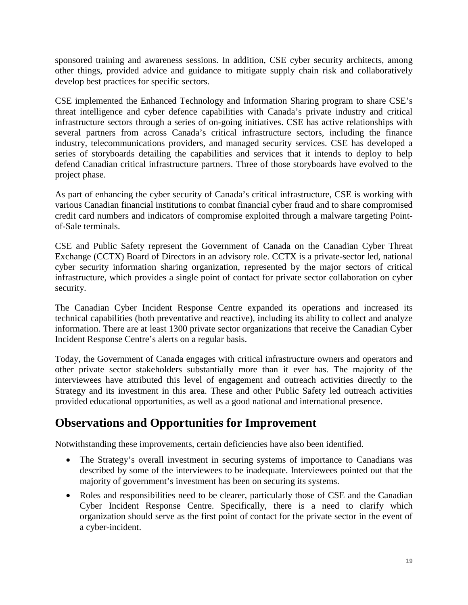sponsored training and awareness sessions. In addition, CSE cyber security architects, among other things, provided advice and guidance to mitigate supply chain risk and collaboratively develop best practices for specific sectors.

CSE implemented the Enhanced Technology and Information Sharing program to share CSE's threat intelligence and cyber defence capabilities with Canada's private industry and critical infrastructure sectors through a series of on-going initiatives. CSE has active relationships with several partners from across Canada's critical infrastructure sectors, including the finance industry, telecommunications providers, and managed security services. CSE has developed a series of storyboards detailing the capabilities and services that it intends to deploy to help defend Canadian critical infrastructure partners. Three of those storyboards have evolved to the project phase.

As part of enhancing the cyber security of Canada's critical infrastructure, CSE is working with various Canadian financial institutions to combat financial cyber fraud and to share compromised credit card numbers and indicators of compromise exploited through a malware targeting Pointof-Sale terminals.

CSE and Public Safety represent the Government of Canada on the Canadian Cyber Threat Exchange (CCTX) Board of Directors in an advisory role. CCTX is a private-sector led, national cyber security information sharing organization, represented by the major sectors of critical infrastructure, which provides a single point of contact for private sector collaboration on cyber security.

The Canadian Cyber Incident Response Centre expanded its operations and increased its technical capabilities (both preventative and reactive), including its ability to collect and analyze information. There are at least 1300 private sector organizations that receive the Canadian Cyber Incident Response Centre's alerts on a regular basis.

Today, the Government of Canada engages with critical infrastructure owners and operators and other private sector stakeholders substantially more than it ever has. The majority of the interviewees have attributed this level of engagement and outreach activities directly to the Strategy and its investment in this area. These and other Public Safety led outreach activities provided educational opportunities, as well as a good national and international presence.

### **Observations and Opportunities for Improvement**

Notwithstanding these improvements, certain deficiencies have also been identified.

- The Strategy's overall investment in securing systems of importance to Canadians was described by some of the interviewees to be inadequate. Interviewees pointed out that the majority of government's investment has been on securing its systems.
- Roles and responsibilities need to be clearer, particularly those of CSE and the Canadian Cyber Incident Response Centre. Specifically, there is a need to clarify which organization should serve as the first point of contact for the private sector in the event of a cyber-incident.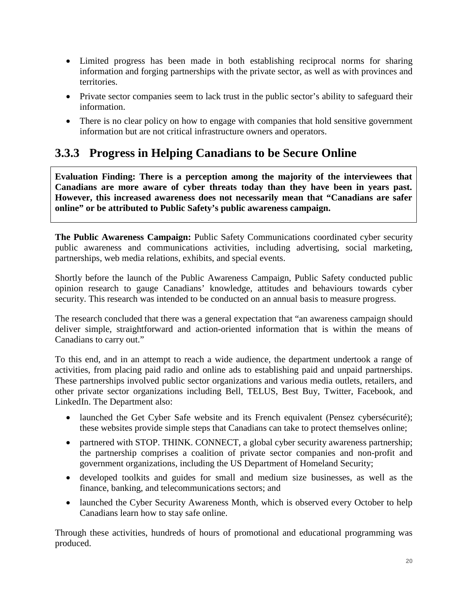- Limited progress has been made in both establishing reciprocal norms for sharing information and forging partnerships with the private sector, as well as with provinces and territories.
- Private sector companies seem to lack trust in the public sector's ability to safeguard their information.
- There is no clear policy on how to engage with companies that hold sensitive government information but are not critical infrastructure owners and operators.

## <span id="page-24-0"></span>**3.3.3 Progress in Helping Canadians to be Secure Online**

**Evaluation Finding: There is a perception among the majority of the interviewees that Canadians are more aware of cyber threats today than they have been in years past. However, this increased awareness does not necessarily mean that "Canadians are safer online" or be attributed to Public Safety's public awareness campaign.**

**The Public Awareness Campaign:** Public Safety Communications coordinated cyber security public awareness and communications activities, including advertising, social marketing, partnerships, web media relations, exhibits, and special events.

Shortly before the launch of the Public Awareness Campaign, Public Safety conducted public opinion research to gauge Canadians' knowledge, attitudes and behaviours towards cyber security. This research was intended to be conducted on an annual basis to measure progress.

The research concluded that there was a general expectation that "an awareness campaign should deliver simple, straightforward and action-oriented information that is within the means of Canadians to carry out."

To this end, and in an attempt to reach a wide audience, the department undertook a range of activities, from placing paid radio and online ads to establishing paid and unpaid partnerships. These partnerships involved public sector organizations and various media outlets, retailers, and other private sector organizations including Bell, TELUS, Best Buy, Twitter, Facebook, and LinkedIn. The Department also:

- launched the Get Cyber Safe website and its French equivalent (Pensez cybersécurité); these websites provide simple steps that Canadians can take to protect themselves online;
- partnered with STOP. THINK. CONNECT, a global cyber security awareness partnership; the partnership comprises a coalition of private sector companies and non-profit and government organizations, including the US Department of Homeland Security;
- developed toolkits and guides for small and medium size businesses, as well as the finance, banking, and telecommunications sectors; and
- launched the Cyber Security Awareness Month, which is observed every October to help Canadians learn how to stay safe online.

Through these activities, hundreds of hours of promotional and educational programming was produced.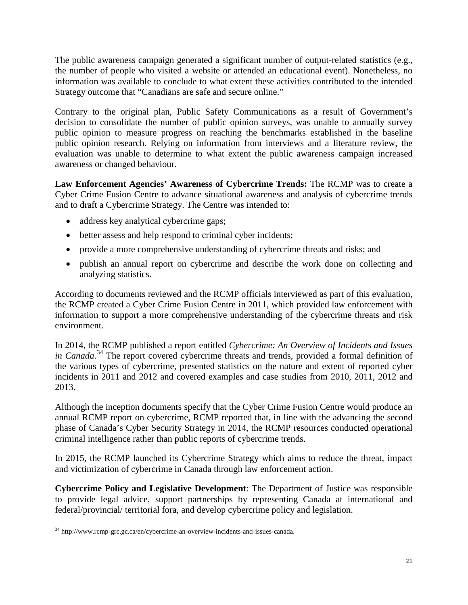The public awareness campaign generated a significant number of output-related statistics (e.g., the number of people who visited a website or attended an educational event). Nonetheless, no information was available to conclude to what extent these activities contributed to the intended Strategy outcome that "Canadians are safe and secure online."

Contrary to the original plan, Public Safety Communications as a result of Government's decision to consolidate the number of public opinion surveys, was unable to annually survey public opinion to measure progress on reaching the benchmarks established in the baseline public opinion research. Relying on information from interviews and a literature review, the evaluation was unable to determine to what extent the public awareness campaign increased awareness or changed behaviour.

**Law Enforcement Agencies' Awareness of Cybercrime Trends:** The RCMP was to create a Cyber Crime Fusion Centre to advance situational awareness and analysis of cybercrime trends and to draft a Cybercrime Strategy. The Centre was intended to:

- address key analytical cybercrime gaps;
- better assess and help respond to criminal cyber incidents;
- provide a more comprehensive understanding of cybercrime threats and risks; and
- publish an annual report on cybercrime and describe the work done on collecting and analyzing statistics.

According to documents reviewed and the RCMP officials interviewed as part of this evaluation, the RCMP created a Cyber Crime Fusion Centre in 2011, which provided law enforcement with information to support a more comprehensive understanding of the cybercrime threats and risk environment.

In 2014, the RCMP published a report entitled *Cybercrime: An Overview of Incidents and Issues in Canada*. [34](#page-22-1) The report covered cybercrime threats and trends, provided a formal definition of the various types of cybercrime, presented statistics on the nature and extent of reported cyber incidents in 2011 and 2012 and covered examples and case studies from 2010, 2011, 2012 and 2013.

Although the inception documents specify that the Cyber Crime Fusion Centre would produce an annual RCMP report on cybercrime, RCMP reported that, in line with the advancing the second phase of Canada's Cyber Security Strategy in 2014, the RCMP resources conducted operational criminal intelligence rather than public reports of cybercrime trends.

In 2015, the RCMP launched its Cybercrime Strategy which aims to reduce the threat, impact and victimization of cybercrime in Canada through law enforcement action.

<span id="page-25-0"></span>**Cybercrime Policy and Legislative Development**: The Department of Justice was responsible to provide legal advice, support partnerships by representing Canada at international and federal/provincial/ territorial fora, and develop cybercrime policy and legislation.

<sup>34</sup> http://www.rcmp-grc.gc.ca/en/cybercrime-an-overview-incidents-and-issues-canada.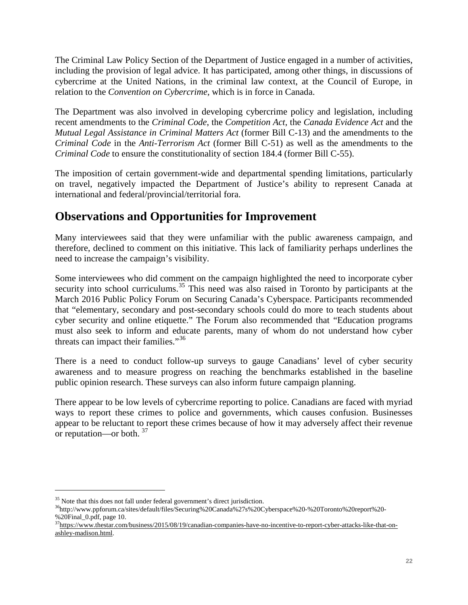The Criminal Law Policy Section of the Department of Justice engaged in a number of activities, including the provision of legal advice. It has participated, among other things, in discussions of cybercrime at the United Nations, in the criminal law context, at the Council of Europe, in relation to the *Convention on Cybercrime*, which is in force in Canada.

The Department was also involved in developing cybercrime policy and legislation, including recent amendments to the *Criminal Code*, the *Competition Act*, the *Canada Evidence Act* and the *Mutual Legal Assistance in Criminal Matters Act* (former Bill C-13) and the amendments to the *Criminal Code* in the *Anti-Terrorism Act* (former Bill C-51) as well as the amendments to the *Criminal Code* to ensure the constitutionality of section 184.4 (former Bill C-55).

The imposition of certain government-wide and departmental spending limitations, particularly on travel, negatively impacted the Department of Justice's ability to represent Canada at international and federal/provincial/territorial fora.

### **Observations and Opportunities for Improvement**

Many interviewees said that they were unfamiliar with the public awareness campaign, and therefore, declined to comment on this initiative. This lack of familiarity perhaps underlines the need to increase the campaign's visibility.

Some interviewees who did comment on the campaign highlighted the need to incorporate cyber security into school curriculums.<sup>[35](#page-25-0)</sup> This need was also raised in Toronto by participants at the March 2016 Public Policy Forum on Securing Canada's Cyberspace. Participants recommended that "elementary, secondary and post-secondary schools could do more to teach students about cyber security and online etiquette." The Forum also recommended that "Education programs must also seek to inform and educate parents, many of whom do not understand how cyber threats can impact their families."<sup>[36](#page-26-0)</sup>

There is a need to conduct follow-up surveys to gauge Canadians' level of cyber security awareness and to measure progress on reaching the benchmarks established in the baseline public opinion research. These surveys can also inform future campaign planning.

There appear to be low levels of cybercrime reporting to police. Canadians are faced with myriad ways to report these crimes to police and governments, which causes confusion. Businesses appear to be reluctant to report these crimes because of how it may adversely affect their revenue or reputation—or both.  $37$ 

<span id="page-26-0"></span>

<sup>&</sup>lt;sup>35</sup> Note that this does not fall under federal government's direct jurisdiction.<br><sup>36</sup>http://www.ppforum.ca/sites/default/files/Securing%20Canada%27s%20Cyberspace%20-%20Toronto%20report%20-%20Final\_0.pdf, page 10.

<span id="page-26-2"></span><span id="page-26-1"></span><sup>&</sup>lt;sup>37</sup>https://www.thestar.com/business/2015/08/19/canadian-companies-have-no-incentive-to-report-cyber-attacks-like-that-on[ashley-madison.html.](https://www.thestar.com/business/2015/08/19/canadian-companies-have-no-incentive-to-report-cyber-attacks-like-that-on-ashley-madison.html)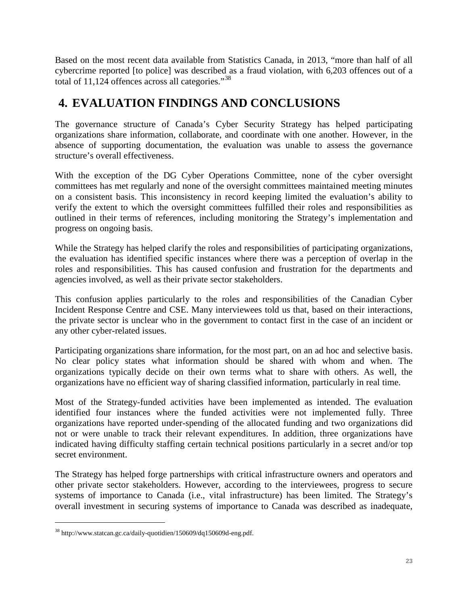<span id="page-27-1"></span>Based on the most recent data available from Statistics Canada, in 2013, "more than half of all cybercrime reported [to police] was described as a fraud violation, with 6,203 offences out of a total of 11,124 offences across all categories."[38](#page-26-2)

## <span id="page-27-0"></span>**4. EVALUATION FINDINGS AND CONCLUSIONS**

The governance structure of Canada's Cyber Security Strategy has helped participating organizations share information, collaborate, and coordinate with one another. However, in the absence of supporting documentation, the evaluation was unable to assess the governance structure's overall effectiveness.

With the exception of the DG Cyber Operations Committee, none of the cyber oversight committees has met regularly and none of the oversight committees maintained meeting minutes on a consistent basis. This inconsistency in record keeping limited the evaluation's ability to verify the extent to which the oversight committees fulfilled their roles and responsibilities as outlined in their terms of references, including monitoring the Strategy's implementation and progress on ongoing basis.

While the Strategy has helped clarify the roles and responsibilities of participating organizations, the evaluation has identified specific instances where there was a perception of overlap in the roles and responsibilities. This has caused confusion and frustration for the departments and agencies involved, as well as their private sector stakeholders.

This confusion applies particularly to the roles and responsibilities of the Canadian Cyber Incident Response Centre and CSE. Many interviewees told us that, based on their interactions, the private sector is unclear who in the government to contact first in the case of an incident or any other cyber-related issues.

Participating organizations share information, for the most part, on an ad hoc and selective basis. No clear policy states what information should be shared with whom and when. The organizations typically decide on their own terms what to share with others. As well, the organizations have no efficient way of sharing classified information, particularly in real time.

Most of the Strategy-funded activities have been implemented as intended. The evaluation identified four instances where the funded activities were not implemented fully. Three organizations have reported under-spending of the allocated funding and two organizations did not or were unable to track their relevant expenditures. In addition, three organizations have indicated having difficulty staffing certain technical positions particularly in a secret and/or top secret environment.

The Strategy has helped forge partnerships with critical infrastructure owners and operators and other private sector stakeholders. However, according to the interviewees, progress to secure systems of importance to Canada (i.e., vital infrastructure) has been limited. The Strategy's overall investment in securing systems of importance to Canada was described as inadequate,

<sup>38</sup> http://www.statcan.gc.ca/daily-quotidien/150609/dq150609d-eng.pdf.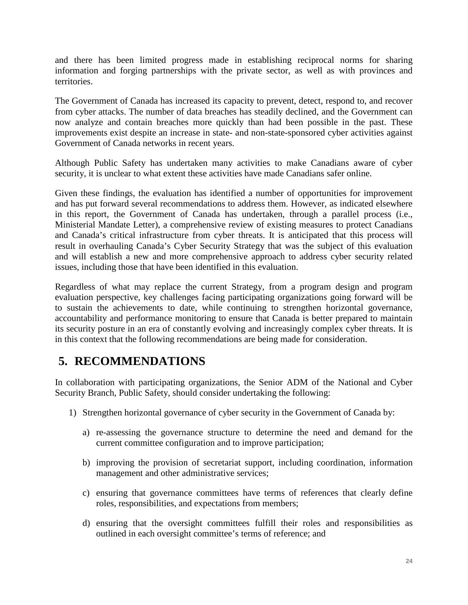and there has been limited progress made in establishing reciprocal norms for sharing information and forging partnerships with the private sector, as well as with provinces and territories.

The Government of Canada has increased its capacity to prevent, detect, respond to, and recover from cyber attacks. The number of data breaches has steadily declined, and the Government can now analyze and contain breaches more quickly than had been possible in the past. These improvements exist despite an increase in state- and non-state-sponsored cyber activities against Government of Canada networks in recent years.

Although Public Safety has undertaken many activities to make Canadians aware of cyber security, it is unclear to what extent these activities have made Canadians safer online.

Given these findings, the evaluation has identified a number of opportunities for improvement and has put forward several recommendations to address them. However, as indicated elsewhere in this report, the Government of Canada has undertaken, through a parallel process (i.e., Ministerial Mandate Letter), a comprehensive review of existing measures to protect Canadians and Canada's critical infrastructure from cyber threats. It is anticipated that this process will result in overhauling Canada's Cyber Security Strategy that was the subject of this evaluation and will establish a new and more comprehensive approach to address cyber security related issues, including those that have been identified in this evaluation.

Regardless of what may replace the current Strategy, from a program design and program evaluation perspective, key challenges facing participating organizations going forward will be to sustain the achievements to date, while continuing to strengthen horizontal governance, accountability and performance monitoring to ensure that Canada is better prepared to maintain its security posture in an era of constantly evolving and increasingly complex cyber threats. It is in this context that the following recommendations are being made for consideration.

## <span id="page-28-0"></span>**5. RECOMMENDATIONS**

In collaboration with participating organizations, the Senior ADM of the National and Cyber Security Branch, Public Safety, should consider undertaking the following:

- 1) Strengthen horizontal governance of cyber security in the Government of Canada by:
	- a) re-assessing the governance structure to determine the need and demand for the current committee configuration and to improve participation;
	- b) improving the provision of secretariat support, including coordination, information management and other administrative services;
	- c) ensuring that governance committees have terms of references that clearly define roles, responsibilities, and expectations from members;
	- d) ensuring that the oversight committees fulfill their roles and responsibilities as outlined in each oversight committee's terms of reference; and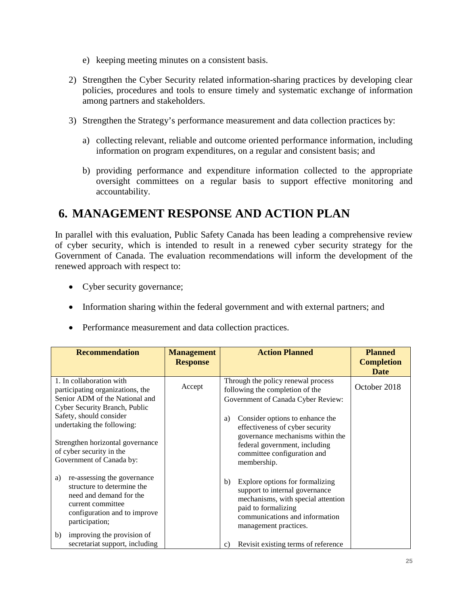- e) keeping meeting minutes on a consistent basis.
- 2) Strengthen the Cyber Security related information-sharing practices by developing clear policies, procedures and tools to ensure timely and systematic exchange of information among partners and stakeholders.
- 3) Strengthen the Strategy's performance measurement and data collection practices by:
	- a) collecting relevant, reliable and outcome oriented performance information, including information on program expenditures, on a regular and consistent basis; and
	- b) providing performance and expenditure information collected to the appropriate oversight committees on a regular basis to support effective monitoring and accountability.

## <span id="page-29-0"></span>**6. MANAGEMENT RESPONSE AND ACTION PLAN**

In parallel with this evaluation, Public Safety Canada has been leading a comprehensive review of cyber security, which is intended to result in a renewed cyber security strategy for the Government of Canada. The evaluation recommendations will inform the development of the renewed approach with respect to:

- Cyber security governance;
- Information sharing within the federal government and with external partners; and
- Performance measurement and data collection practices.

| <b>Recommendation</b>                                                                                                                                                                                                                                                                | <b>Management</b><br><b>Response</b> | <b>Action Planned</b>                                                                                                                                                                                                                                                                                      | <b>Planned</b><br><b>Completion</b><br>Date |
|--------------------------------------------------------------------------------------------------------------------------------------------------------------------------------------------------------------------------------------------------------------------------------------|--------------------------------------|------------------------------------------------------------------------------------------------------------------------------------------------------------------------------------------------------------------------------------------------------------------------------------------------------------|---------------------------------------------|
| 1. In collaboration with<br>participating organizations, the<br>Senior ADM of the National and<br>Cyber Security Branch, Public<br>Safety, should consider<br>undertaking the following:<br>Strengthen horizontal governance<br>of cyber security in the<br>Government of Canada by: | Accept                               | Through the policy renewal process<br>following the completion of the<br>Government of Canada Cyber Review:<br>Consider options to enhance the<br>a)<br>effectiveness of cyber security<br>governance mechanisms within the<br>federal government, including<br>committee configuration and<br>membership. | October 2018                                |
| re-assessing the governance<br>a)<br>structure to determine the<br>need and demand for the<br>current committee<br>configuration and to improve<br>participation;<br>improving the provision of<br>b)                                                                                |                                      | Explore options for formalizing<br>b)<br>support to internal governance<br>mechanisms, with special attention<br>paid to formalizing<br>communications and information<br>management practices.                                                                                                            |                                             |
| secretariat support, including                                                                                                                                                                                                                                                       |                                      | Revisit existing terms of reference<br>$\mathcal{C}$ )                                                                                                                                                                                                                                                     |                                             |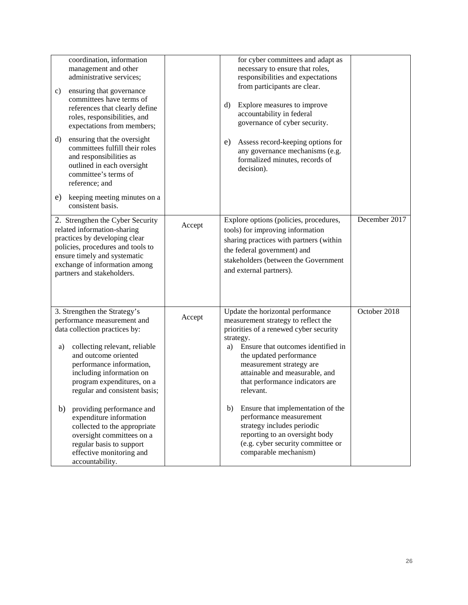| coordination, information<br>management and other<br>administrative services;<br>ensuring that governance<br>$\mathbf{c})$<br>committees have terms of<br>references that clearly define<br>roles, responsibilities, and<br>expectations from members;<br>ensuring that the oversight<br>d)<br>committees fulfill their roles<br>and responsibilities as<br>outlined in each oversight<br>committee's terms of<br>reference; and<br>e)<br>keeping meeting minutes on a<br>consistent basis. |        | for cyber committees and adapt as<br>necessary to ensure that roles,<br>responsibilities and expectations<br>from participants are clear.<br>d)<br>Explore measures to improve<br>accountability in federal<br>governance of cyber security.<br>e)<br>Assess record-keeping options for<br>any governance mechanisms (e.g.<br>formalized minutes, records of<br>decision).                                                                                                                                               |               |
|---------------------------------------------------------------------------------------------------------------------------------------------------------------------------------------------------------------------------------------------------------------------------------------------------------------------------------------------------------------------------------------------------------------------------------------------------------------------------------------------|--------|--------------------------------------------------------------------------------------------------------------------------------------------------------------------------------------------------------------------------------------------------------------------------------------------------------------------------------------------------------------------------------------------------------------------------------------------------------------------------------------------------------------------------|---------------|
| 2. Strengthen the Cyber Security<br>related information-sharing<br>practices by developing clear<br>policies, procedures and tools to<br>ensure timely and systematic<br>exchange of information among<br>partners and stakeholders.                                                                                                                                                                                                                                                        | Accept | Explore options (policies, procedures,<br>tools) for improving information<br>sharing practices with partners (within<br>the federal government) and<br>stakeholders (between the Government<br>and external partners).                                                                                                                                                                                                                                                                                                  | December 2017 |
| 3. Strengthen the Strategy's<br>performance measurement and<br>data collection practices by:<br>collecting relevant, reliable<br>a)<br>and outcome oriented<br>performance information,<br>including information on<br>program expenditures, on a<br>regular and consistent basis;<br>providing performance and<br>b)<br>expenditure information<br>collected to the appropriate<br>oversight committees on a<br>regular basis to support<br>effective monitoring and<br>accountability.    | Accept | Update the horizontal performance<br>measurement strategy to reflect the<br>priorities of a renewed cyber security<br>strategy.<br>Ensure that outcomes identified in<br>a)<br>the updated performance<br>measurement strategy are<br>attainable and measurable, and<br>that performance indicators are<br>relevant.<br>Ensure that implementation of the<br>b)<br>performance measurement<br>strategy includes periodic<br>reporting to an oversight body<br>(e.g. cyber security committee or<br>comparable mechanism) | October 2018  |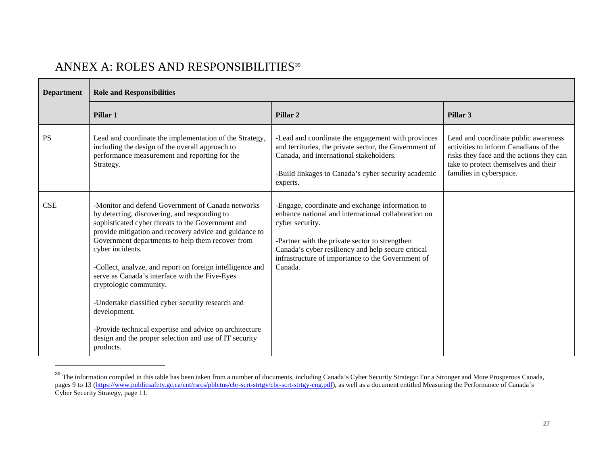## ANNEX A: ROLES AND RESPONSIBILITIES<sup>[39](#page-27-1)</sup>

<span id="page-31-0"></span>

| <b>Department</b> | <b>Role and Responsibilities</b>                                                                                                                                                                                                                                                                                                                                                                                                                                                                                                                                                                                                         |                                                                                                                                                                                                                                                                                                   |                                                                                                                                                                                              |  |  |  |  |
|-------------------|------------------------------------------------------------------------------------------------------------------------------------------------------------------------------------------------------------------------------------------------------------------------------------------------------------------------------------------------------------------------------------------------------------------------------------------------------------------------------------------------------------------------------------------------------------------------------------------------------------------------------------------|---------------------------------------------------------------------------------------------------------------------------------------------------------------------------------------------------------------------------------------------------------------------------------------------------|----------------------------------------------------------------------------------------------------------------------------------------------------------------------------------------------|--|--|--|--|
|                   | Pillar 1                                                                                                                                                                                                                                                                                                                                                                                                                                                                                                                                                                                                                                 | Pillar <sub>2</sub>                                                                                                                                                                                                                                                                               | Pillar <sub>3</sub>                                                                                                                                                                          |  |  |  |  |
| <b>PS</b>         | Lead and coordinate the implementation of the Strategy,<br>including the design of the overall approach to<br>performance measurement and reporting for the<br>Strategy.                                                                                                                                                                                                                                                                                                                                                                                                                                                                 | -Lead and coordinate the engagement with provinces<br>and territories, the private sector, the Government of<br>Canada, and international stakeholders.<br>-Build linkages to Canada's cyber security academic<br>experts.                                                                        | Lead and coordinate public awareness<br>activities to inform Canadians of the<br>risks they face and the actions they can<br>take to protect themselves and their<br>families in cyberspace. |  |  |  |  |
| <b>CSE</b>        | -Monitor and defend Government of Canada networks<br>by detecting, discovering, and responding to<br>sophisticated cyber threats to the Government and<br>provide mitigation and recovery advice and guidance to<br>Government departments to help them recover from<br>cyber incidents.<br>-Collect, analyze, and report on foreign intelligence and<br>serve as Canada's interface with the Five-Eyes<br>cryptologic community.<br>-Undertake classified cyber security research and<br>development.<br>-Provide technical expertise and advice on architecture<br>design and the proper selection and use of IT security<br>products. | -Engage, coordinate and exchange information to<br>enhance national and international collaboration on<br>cyber security.<br>-Partner with the private sector to strengthen<br>Canada's cyber resiliency and help secure critical<br>infrastructure of importance to the Government of<br>Canada. |                                                                                                                                                                                              |  |  |  |  |

<sup>&</sup>lt;sup>39</sup> The information compiled in this table has been taken from a number of documents, including Canada's Cyber Security Strategy: For a Stronger and More Prosperous Canada, pages 9 to 13 [\(https://www.publicsafety.gc.ca/cnt/rsrcs/pblctns/cbr-scrt-strtgy/cbr-scrt-strtgy-eng.pdf\)](https://www.publicsafety.gc.ca/cnt/rsrcs/pblctns/cbr-scrt-strtgy/cbr-scrt-strtgy-eng.pdf), as well as a document entitled Measuring the Performance of Canada's Cyber Security Strategy, page 11.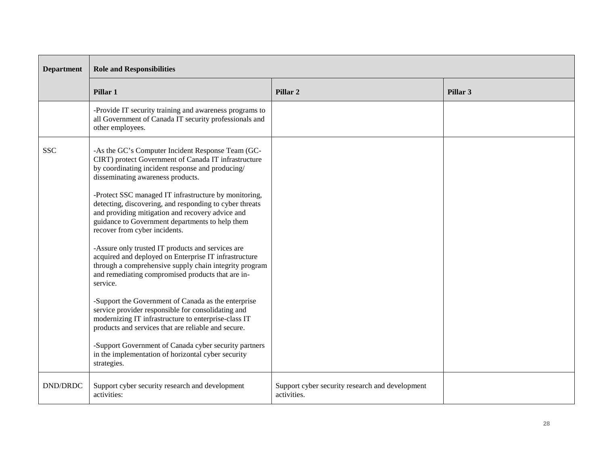| <b>Department</b> | <b>Role and Responsibilities</b>                                                                                                                                                                                                                                                                                                                                                                                                                                                                                                                                                                                                                                                                                                                                                                                                                                                                                                                                                                                                                                  |                                                                |          |  |  |  |
|-------------------|-------------------------------------------------------------------------------------------------------------------------------------------------------------------------------------------------------------------------------------------------------------------------------------------------------------------------------------------------------------------------------------------------------------------------------------------------------------------------------------------------------------------------------------------------------------------------------------------------------------------------------------------------------------------------------------------------------------------------------------------------------------------------------------------------------------------------------------------------------------------------------------------------------------------------------------------------------------------------------------------------------------------------------------------------------------------|----------------------------------------------------------------|----------|--|--|--|
|                   | Pillar 1                                                                                                                                                                                                                                                                                                                                                                                                                                                                                                                                                                                                                                                                                                                                                                                                                                                                                                                                                                                                                                                          | Pillar <sub>2</sub>                                            | Pillar 3 |  |  |  |
|                   | -Provide IT security training and awareness programs to<br>all Government of Canada IT security professionals and<br>other employees.                                                                                                                                                                                                                                                                                                                                                                                                                                                                                                                                                                                                                                                                                                                                                                                                                                                                                                                             |                                                                |          |  |  |  |
| <b>SSC</b>        | -As the GC's Computer Incident Response Team (GC-<br>CIRT) protect Government of Canada IT infrastructure<br>by coordinating incident response and producing/<br>disseminating awareness products.<br>-Protect SSC managed IT infrastructure by monitoring,<br>detecting, discovering, and responding to cyber threats<br>and providing mitigation and recovery advice and<br>guidance to Government departments to help them<br>recover from cyber incidents.<br>-Assure only trusted IT products and services are<br>acquired and deployed on Enterprise IT infrastructure<br>through a comprehensive supply chain integrity program<br>and remediating compromised products that are in-<br>service.<br>-Support the Government of Canada as the enterprise<br>service provider responsible for consolidating and<br>modernizing IT infrastructure to enterprise-class IT<br>products and services that are reliable and secure.<br>-Support Government of Canada cyber security partners<br>in the implementation of horizontal cyber security<br>strategies. |                                                                |          |  |  |  |
| DND/DRDC          | Support cyber security research and development<br>activities:                                                                                                                                                                                                                                                                                                                                                                                                                                                                                                                                                                                                                                                                                                                                                                                                                                                                                                                                                                                                    | Support cyber security research and development<br>activities. |          |  |  |  |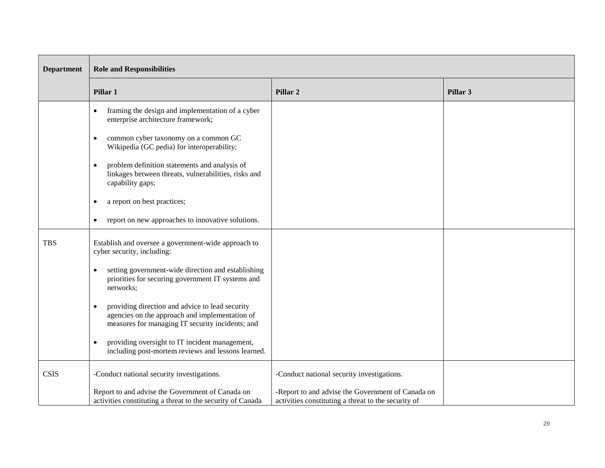| <b>Department</b> | <b>Role and Responsibilities</b>                                                                                                                                   |                                                                                                          |          |  |  |  |
|-------------------|--------------------------------------------------------------------------------------------------------------------------------------------------------------------|----------------------------------------------------------------------------------------------------------|----------|--|--|--|
|                   | Pillar 1                                                                                                                                                           | Pillar <sub>2</sub>                                                                                      | Pillar 3 |  |  |  |
|                   | framing the design and implementation of a cyber<br>$\bullet$<br>enterprise architecture framework;                                                                |                                                                                                          |          |  |  |  |
|                   | common cyber taxonomy on a common GC<br>$\bullet$<br>Wikipedia (GC pedia) for interoperability;                                                                    |                                                                                                          |          |  |  |  |
|                   | problem definition statements and analysis of<br>$\bullet$<br>linkages between threats, vulnerabilities, risks and<br>capability gaps;                             |                                                                                                          |          |  |  |  |
|                   | a report on best practices;<br>$\bullet$                                                                                                                           |                                                                                                          |          |  |  |  |
|                   | report on new approaches to innovative solutions.<br>$\bullet$                                                                                                     |                                                                                                          |          |  |  |  |
| <b>TBS</b>        | Establish and oversee a government-wide approach to<br>cyber security, including:                                                                                  |                                                                                                          |          |  |  |  |
|                   | setting government-wide direction and establishing<br>$\bullet$<br>priorities for securing government IT systems and<br>networks;                                  |                                                                                                          |          |  |  |  |
|                   | providing direction and advice to lead security<br>$\bullet$<br>agencies on the approach and implementation of<br>measures for managing IT security incidents; and |                                                                                                          |          |  |  |  |
|                   | providing oversight to IT incident management,<br>$\bullet$<br>including post-mortem reviews and lessons learned.                                                  |                                                                                                          |          |  |  |  |
| <b>CSIS</b>       | -Conduct national security investigations.                                                                                                                         | -Conduct national security investigations.                                                               |          |  |  |  |
|                   | Report to and advise the Government of Canada on<br>activities constituting a threat to the security of Canada                                                     | -Report to and advise the Government of Canada on<br>activities constituting a threat to the security of |          |  |  |  |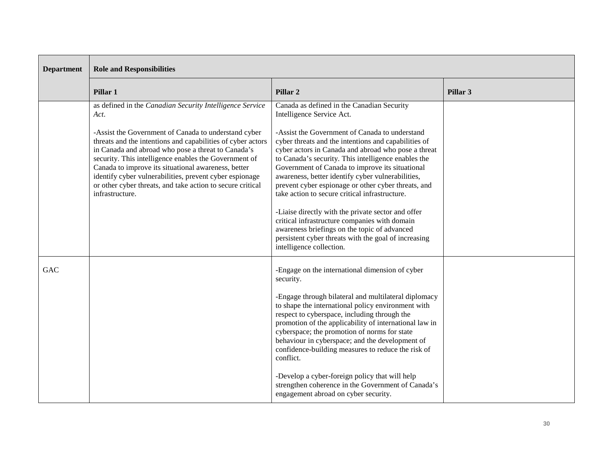| <b>Department</b> | <b>Role and Responsibilities</b>                                                                                                                                                                                                                                                                                                                                                                                                      |                                                                                                                                                                                                                                                                                                                                                                                                                                                                                                                                                                                                                                                                                  |          |  |  |  |  |
|-------------------|---------------------------------------------------------------------------------------------------------------------------------------------------------------------------------------------------------------------------------------------------------------------------------------------------------------------------------------------------------------------------------------------------------------------------------------|----------------------------------------------------------------------------------------------------------------------------------------------------------------------------------------------------------------------------------------------------------------------------------------------------------------------------------------------------------------------------------------------------------------------------------------------------------------------------------------------------------------------------------------------------------------------------------------------------------------------------------------------------------------------------------|----------|--|--|--|--|
|                   | Pillar 1                                                                                                                                                                                                                                                                                                                                                                                                                              | Pillar <sub>2</sub>                                                                                                                                                                                                                                                                                                                                                                                                                                                                                                                                                                                                                                                              | Pillar 3 |  |  |  |  |
|                   | as defined in the Canadian Security Intelligence Service<br>Act.                                                                                                                                                                                                                                                                                                                                                                      | Canada as defined in the Canadian Security<br>Intelligence Service Act.                                                                                                                                                                                                                                                                                                                                                                                                                                                                                                                                                                                                          |          |  |  |  |  |
|                   | -Assist the Government of Canada to understand cyber<br>threats and the intentions and capabilities of cyber actors<br>in Canada and abroad who pose a threat to Canada's<br>security. This intelligence enables the Government of<br>Canada to improve its situational awareness, better<br>identify cyber vulnerabilities, prevent cyber espionage<br>or other cyber threats, and take action to secure critical<br>infrastructure. | -Assist the Government of Canada to understand<br>cyber threats and the intentions and capabilities of<br>cyber actors in Canada and abroad who pose a threat<br>to Canada's security. This intelligence enables the<br>Government of Canada to improve its situational<br>awareness, better identify cyber vulnerabilities,<br>prevent cyber espionage or other cyber threats, and<br>take action to secure critical infrastructure.<br>-Liaise directly with the private sector and offer<br>critical infrastructure companies with domain<br>awareness briefings on the topic of advanced<br>persistent cyber threats with the goal of increasing<br>intelligence collection. |          |  |  |  |  |
| <b>GAC</b>        |                                                                                                                                                                                                                                                                                                                                                                                                                                       | -Engage on the international dimension of cyber<br>security.<br>-Engage through bilateral and multilateral diplomacy<br>to shape the international policy environment with<br>respect to cyberspace, including through the<br>promotion of the applicability of international law in<br>cyberspace; the promotion of norms for state<br>behaviour in cyberspace; and the development of<br>confidence-building measures to reduce the risk of<br>conflict.<br>-Develop a cyber-foreign policy that will help<br>strengthen coherence in the Government of Canada's<br>engagement abroad on cyber security.                                                                       |          |  |  |  |  |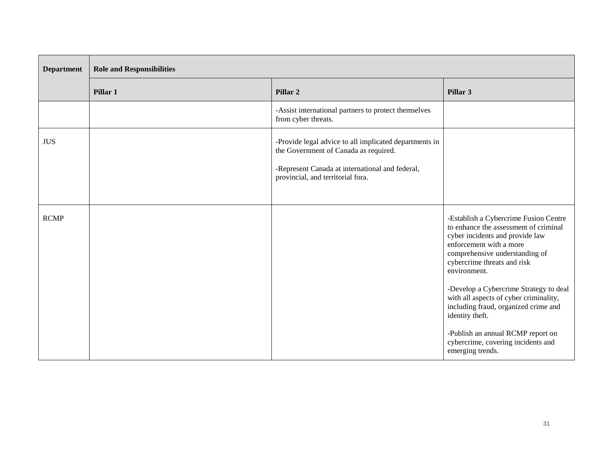| <b>Department</b> | <b>Role and Responsibilities</b> |                                                                                                                                                                                         |                                                                                                                                                                                                                                                                                                                                                                                                                                                                             |  |  |  |
|-------------------|----------------------------------|-----------------------------------------------------------------------------------------------------------------------------------------------------------------------------------------|-----------------------------------------------------------------------------------------------------------------------------------------------------------------------------------------------------------------------------------------------------------------------------------------------------------------------------------------------------------------------------------------------------------------------------------------------------------------------------|--|--|--|
|                   | Pillar 1                         | Pillar <sub>2</sub>                                                                                                                                                                     | Pillar <sub>3</sub>                                                                                                                                                                                                                                                                                                                                                                                                                                                         |  |  |  |
|                   |                                  | -Assist international partners to protect themselves<br>from cyber threats.                                                                                                             |                                                                                                                                                                                                                                                                                                                                                                                                                                                                             |  |  |  |
| <b>JUS</b>        |                                  | -Provide legal advice to all implicated departments in<br>the Government of Canada as required.<br>-Represent Canada at international and federal,<br>provincial, and territorial fora. |                                                                                                                                                                                                                                                                                                                                                                                                                                                                             |  |  |  |
| <b>RCMP</b>       |                                  |                                                                                                                                                                                         | -Establish a Cybercrime Fusion Centre<br>to enhance the assessment of criminal<br>cyber incidents and provide law<br>enforcement with a more<br>comprehensive understanding of<br>cybercrime threats and risk<br>environment.<br>-Develop a Cybercrime Strategy to deal<br>with all aspects of cyber criminality,<br>including fraud, organized crime and<br>identity theft.<br>-Publish an annual RCMP report on<br>cybercrime, covering incidents and<br>emerging trends. |  |  |  |